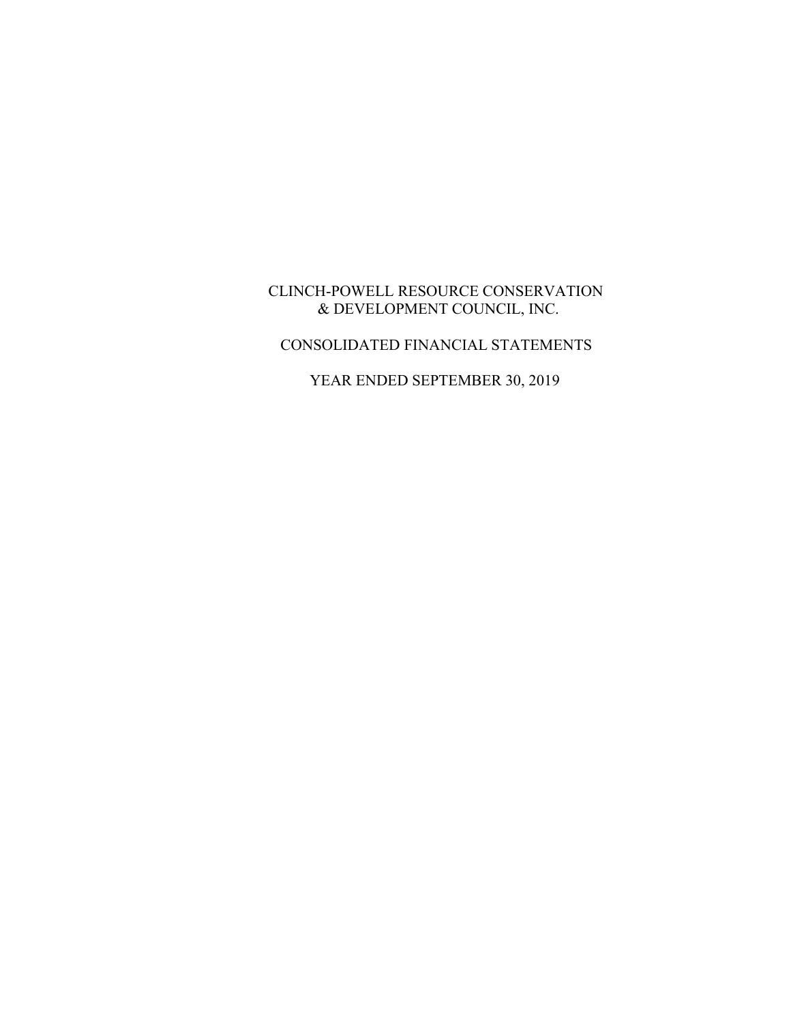## CLINCH-POWELL RESOURCE CONSERVATION & DEVELOPMENT COUNCIL, INC.

# CONSOLIDATED FINANCIAL STATEMENTS

# YEAR ENDED SEPTEMBER 30, 2019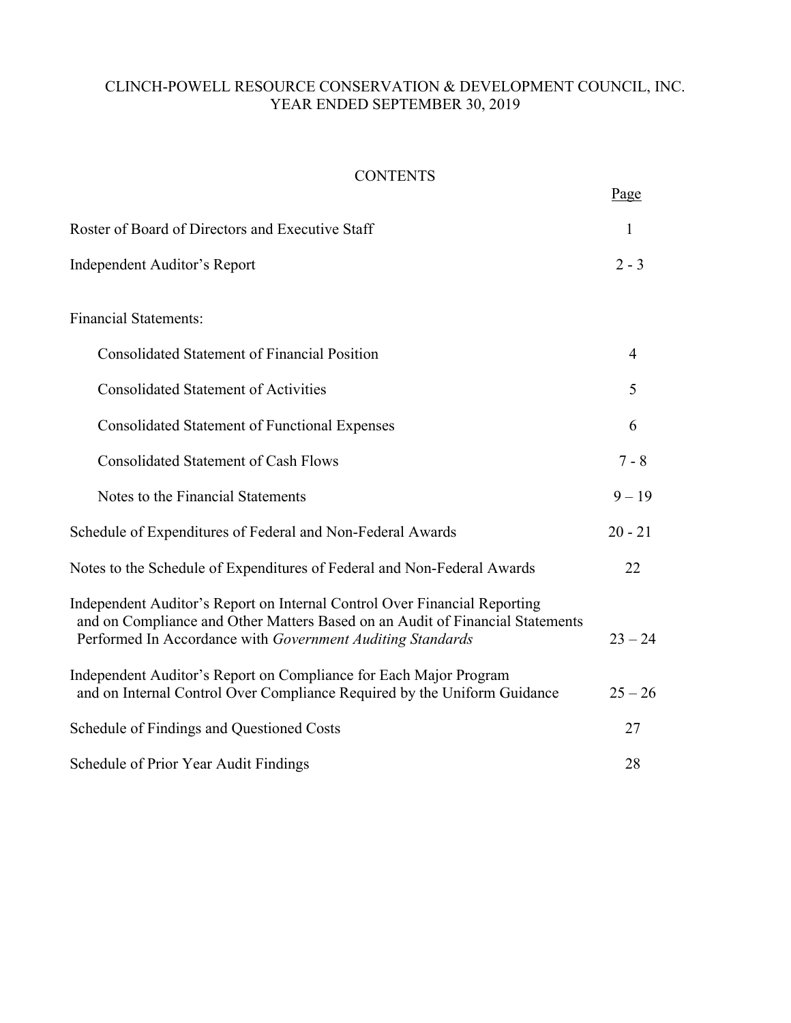# CLINCH-POWELL RESOURCE CONSERVATION & DEVELOPMENT COUNCIL, INC. YEAR ENDED SEPTEMBER 30, 2019

#### **CONTENTS**

|                                                                                                                                                                                                                          | Page           |
|--------------------------------------------------------------------------------------------------------------------------------------------------------------------------------------------------------------------------|----------------|
| Roster of Board of Directors and Executive Staff                                                                                                                                                                         | 1              |
| Independent Auditor's Report                                                                                                                                                                                             | $2 - 3$        |
| <b>Financial Statements:</b>                                                                                                                                                                                             |                |
| <b>Consolidated Statement of Financial Position</b>                                                                                                                                                                      | $\overline{4}$ |
| <b>Consolidated Statement of Activities</b>                                                                                                                                                                              | 5              |
| <b>Consolidated Statement of Functional Expenses</b>                                                                                                                                                                     | 6              |
| <b>Consolidated Statement of Cash Flows</b>                                                                                                                                                                              | $7 - 8$        |
| Notes to the Financial Statements                                                                                                                                                                                        | $9 - 19$       |
| Schedule of Expenditures of Federal and Non-Federal Awards                                                                                                                                                               | $20 - 21$      |
| Notes to the Schedule of Expenditures of Federal and Non-Federal Awards                                                                                                                                                  | 22             |
| Independent Auditor's Report on Internal Control Over Financial Reporting<br>and on Compliance and Other Matters Based on an Audit of Financial Statements<br>Performed In Accordance with Government Auditing Standards | $23 - 24$      |
| Independent Auditor's Report on Compliance for Each Major Program<br>and on Internal Control Over Compliance Required by the Uniform Guidance                                                                            | $25 - 26$      |
| Schedule of Findings and Questioned Costs                                                                                                                                                                                | 27             |
| Schedule of Prior Year Audit Findings                                                                                                                                                                                    | 28             |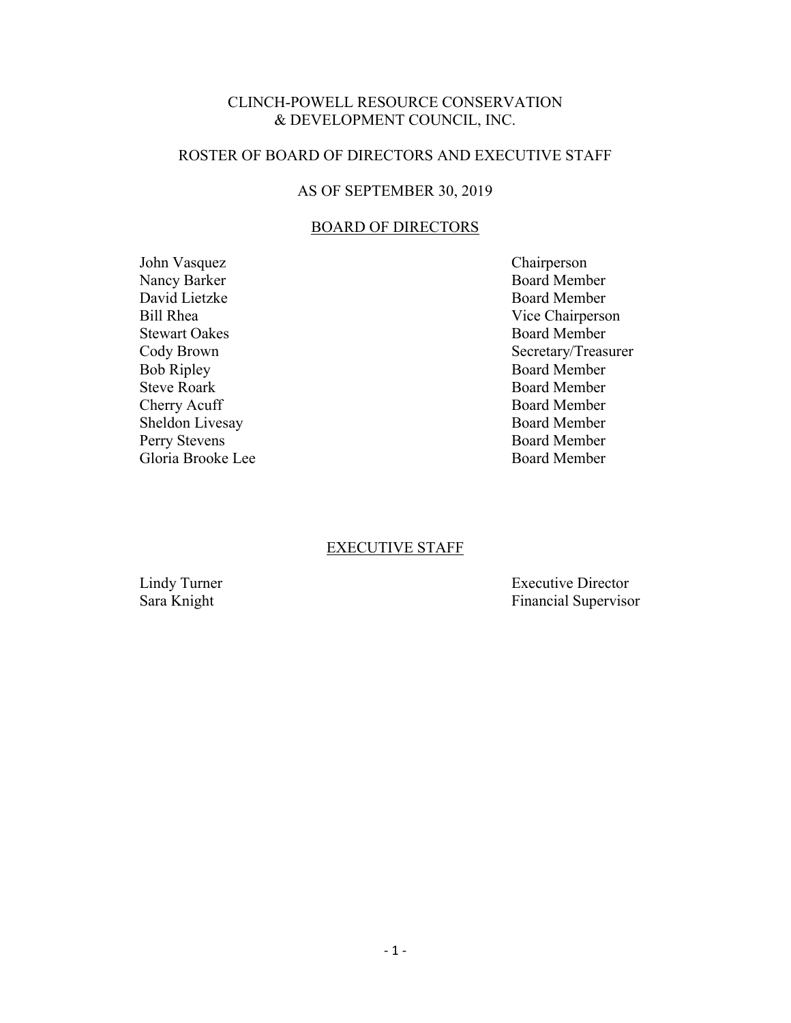### CLINCH-POWELL RESOURCE CONSERVATION & DEVELOPMENT COUNCIL, INC.

#### ROSTER OF BOARD OF DIRECTORS AND EXECUTIVE STAFF

#### AS OF SEPTEMBER 30, 2019

#### BOARD OF DIRECTORS

John Vasquez Chairperson Nancy Barker Board Member David Lietzke Board Member Stewart Oakes Board Member Bob Ripley Board Member Steve Roark Board Member Cherry Acuff Board Member Sheldon Livesay Board Member Perry Stevens Board Member Gloria Brooke Lee Board Member

Bill Rhea Vice Chairperson Cody Brown Secretary/Treasurer

#### EXECUTIVE STAFF

Lindy Turner Executive Director Sara Knight Financial Supervisor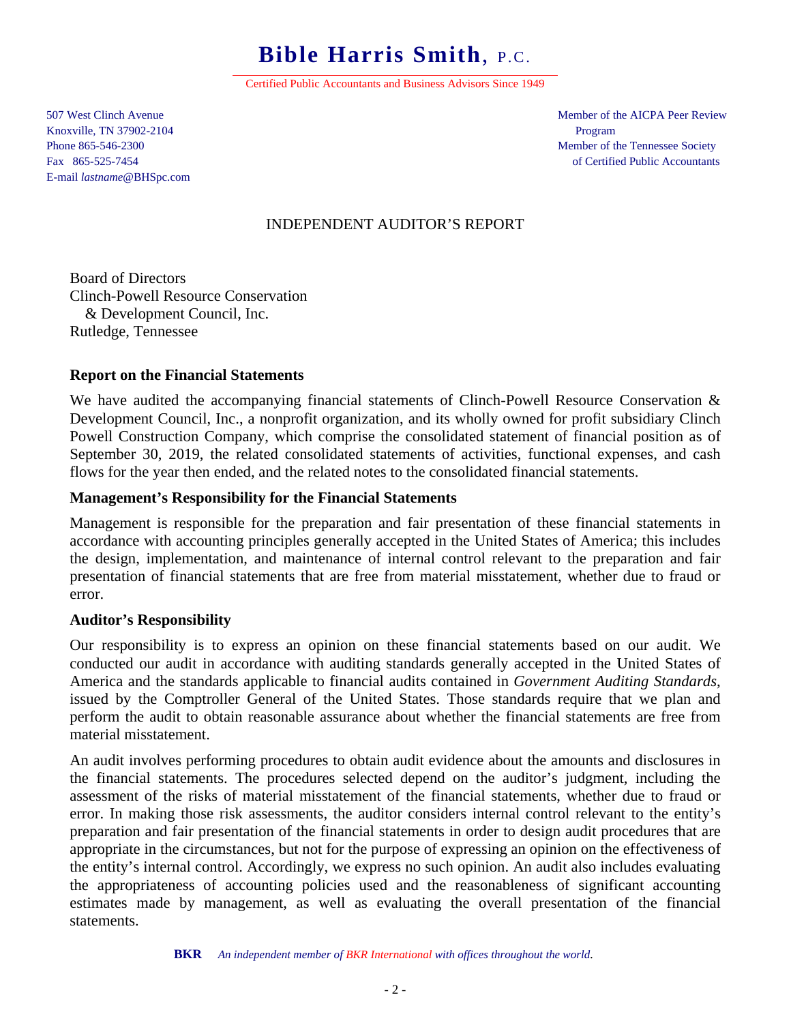# **Bible Harris Smith**, P.C.

Certified Public Accountants and Business Advisors Since 1949

Knoxville, TN 37902-2104 Program E-mail *lastname*@BHSpc.com

507 West Clinch Avenue Member of the AICPA Peer Review Phone 865-546-2300 Member of the Tennessee Society Fax 865-525-7454 of Certified Public Accountants

### INDEPENDENT AUDITOR'S REPORT

Board of Directors Clinch-Powell Resource Conservation & Development Council, Inc. Rutledge, Tennessee

#### **Report on the Financial Statements**

We have audited the accompanying financial statements of Clinch-Powell Resource Conservation & Development Council, Inc., a nonprofit organization, and its wholly owned for profit subsidiary Clinch Powell Construction Company, which comprise the consolidated statement of financial position as of September 30, 2019, the related consolidated statements of activities, functional expenses, and cash flows for the year then ended, and the related notes to the consolidated financial statements.

#### **Management's Responsibility for the Financial Statements**

Management is responsible for the preparation and fair presentation of these financial statements in accordance with accounting principles generally accepted in the United States of America; this includes the design, implementation, and maintenance of internal control relevant to the preparation and fair presentation of financial statements that are free from material misstatement, whether due to fraud or error.

#### **Auditor's Responsibility**

Our responsibility is to express an opinion on these financial statements based on our audit. We conducted our audit in accordance with auditing standards generally accepted in the United States of America and the standards applicable to financial audits contained in *Government Auditing Standards*, issued by the Comptroller General of the United States. Those standards require that we plan and perform the audit to obtain reasonable assurance about whether the financial statements are free from material misstatement.

An audit involves performing procedures to obtain audit evidence about the amounts and disclosures in the financial statements. The procedures selected depend on the auditor's judgment, including the assessment of the risks of material misstatement of the financial statements, whether due to fraud or error. In making those risk assessments, the auditor considers internal control relevant to the entity's preparation and fair presentation of the financial statements in order to design audit procedures that are appropriate in the circumstances, but not for the purpose of expressing an opinion on the effectiveness of the entity's internal control. Accordingly, we express no such opinion. An audit also includes evaluating the appropriateness of accounting policies used and the reasonableness of significant accounting estimates made by management, as well as evaluating the overall presentation of the financial statements.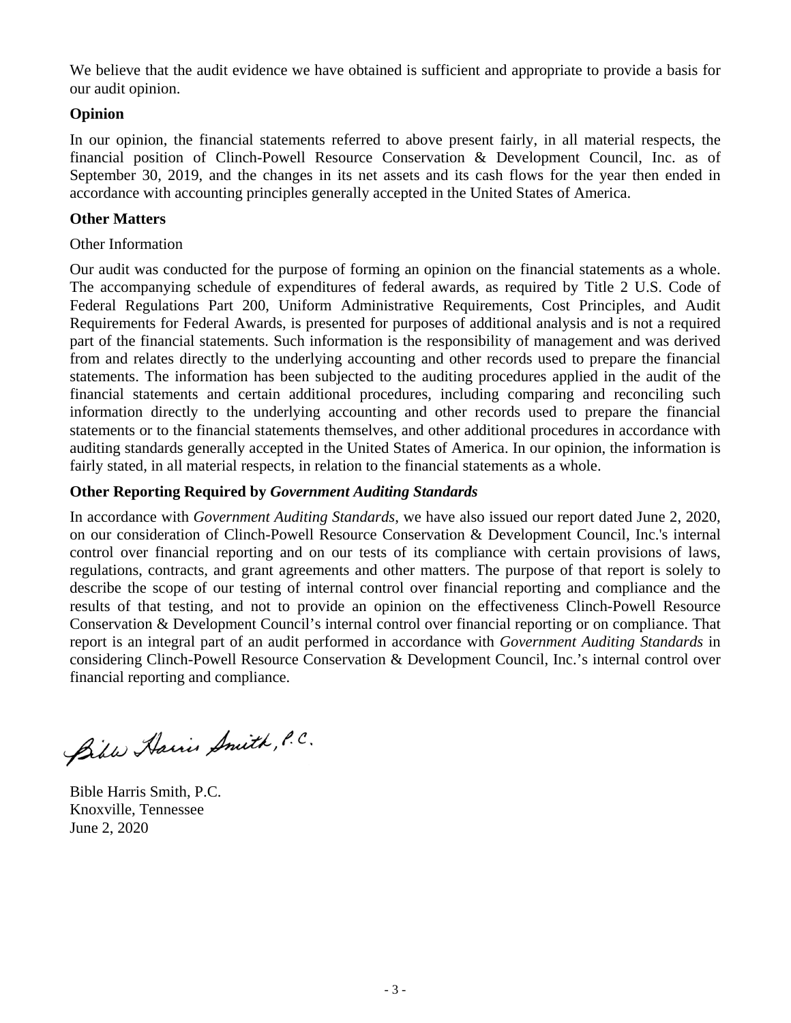We believe that the audit evidence we have obtained is sufficient and appropriate to provide a basis for our audit opinion.

## **Opinion**

In our opinion, the financial statements referred to above present fairly, in all material respects, the financial position of Clinch-Powell Resource Conservation & Development Council, Inc. as of September 30, 2019, and the changes in its net assets and its cash flows for the year then ended in accordance with accounting principles generally accepted in the United States of America.

## **Other Matters**

## Other Information

Our audit was conducted for the purpose of forming an opinion on the financial statements as a whole. The accompanying schedule of expenditures of federal awards, as required by Title 2 U.S. Code of Federal Regulations Part 200, Uniform Administrative Requirements, Cost Principles, and Audit Requirements for Federal Awards, is presented for purposes of additional analysis and is not a required part of the financial statements. Such information is the responsibility of management and was derived from and relates directly to the underlying accounting and other records used to prepare the financial statements. The information has been subjected to the auditing procedures applied in the audit of the financial statements and certain additional procedures, including comparing and reconciling such information directly to the underlying accounting and other records used to prepare the financial statements or to the financial statements themselves, and other additional procedures in accordance with auditing standards generally accepted in the United States of America. In our opinion, the information is fairly stated, in all material respects, in relation to the financial statements as a whole.

## **Other Reporting Required by** *Government Auditing Standards*

In accordance with *Government Auditing Standards*, we have also issued our report dated June 2, 2020, on our consideration of Clinch-Powell Resource Conservation & Development Council, Inc.'s internal control over financial reporting and on our tests of its compliance with certain provisions of laws, regulations, contracts, and grant agreements and other matters. The purpose of that report is solely to describe the scope of our testing of internal control over financial reporting and compliance and the results of that testing, and not to provide an opinion on the effectiveness Clinch-Powell Resource Conservation & Development Council's internal control over financial reporting or on compliance. That report is an integral part of an audit performed in accordance with *Government Auditing Standards* in considering Clinch-Powell Resource Conservation & Development Council, Inc.'s internal control over financial reporting and compliance.

Bible Asia Smith, P.C.

Bible Harris Smith, P.C. Knoxville, Tennessee June 2, 2020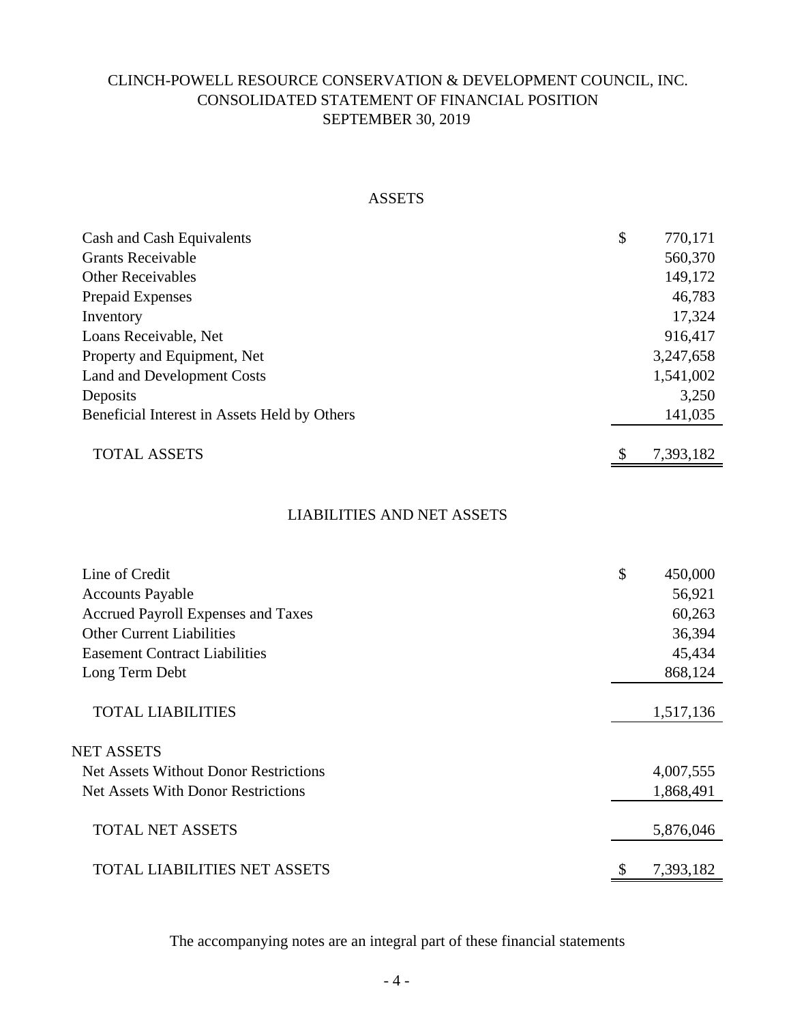# CLINCH-POWELL RESOURCE CONSERVATION & DEVELOPMENT COUNCIL, INC. CONSOLIDATED STATEMENT OF FINANCIAL POSITION SEPTEMBER 30, 2019

# ASSETS

| Cash and Cash Equivalents                    | \$<br>770,171 |
|----------------------------------------------|---------------|
| <b>Grants Receivable</b>                     | 560,370       |
| <b>Other Receivables</b>                     | 149,172       |
| Prepaid Expenses                             | 46,783        |
| Inventory                                    | 17,324        |
| Loans Receivable, Net                        | 916,417       |
| Property and Equipment, Net                  | 3,247,658     |
| Land and Development Costs                   | 1,541,002     |
| Deposits                                     | 3,250         |
| Beneficial Interest in Assets Held by Others | 141,035       |
|                                              |               |
| <b>TOTAL ASSETS</b>                          | 7,393,182     |

# LIABILITIES AND NET ASSETS

| Line of Credit                               | \$<br>450,000 |
|----------------------------------------------|---------------|
| <b>Accounts Payable</b>                      | 56,921        |
| <b>Accrued Payroll Expenses and Taxes</b>    | 60,263        |
| <b>Other Current Liabilities</b>             | 36,394        |
| <b>Easement Contract Liabilities</b>         | 45,434        |
| Long Term Debt                               | 868,124       |
|                                              |               |
| <b>TOTAL LIABILITIES</b>                     | 1,517,136     |
|                                              |               |
| NET ASSETS                                   |               |
| <b>Net Assets Without Donor Restrictions</b> | 4,007,555     |
| <b>Net Assets With Donor Restrictions</b>    | 1,868,491     |
|                                              |               |
| <b>TOTAL NET ASSETS</b>                      | 5,876,046     |
|                                              |               |
| <b>TOTAL LIABILITIES NET ASSETS</b>          | 7,393,182     |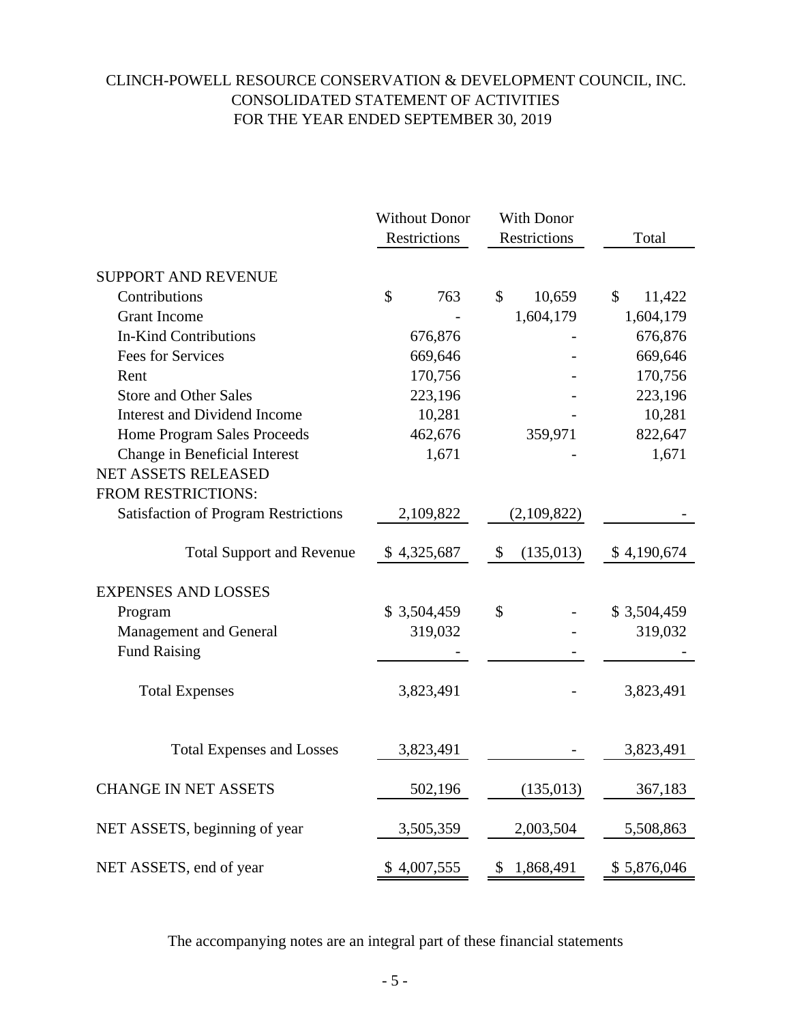# CLINCH-POWELL RESOURCE CONSERVATION & DEVELOPMENT COUNCIL, INC. CONSOLIDATED STATEMENT OF ACTIVITIES FOR THE YEAR ENDED SEPTEMBER 30, 2019

|                                             | <b>Without Donor</b><br>Restrictions | <b>With Donor</b><br>Restrictions | Total        |  |
|---------------------------------------------|--------------------------------------|-----------------------------------|--------------|--|
| <b>SUPPORT AND REVENUE</b>                  |                                      |                                   |              |  |
| Contributions                               | \$<br>763                            | \$<br>10,659                      | \$<br>11,422 |  |
| <b>Grant Income</b>                         |                                      | 1,604,179                         | 1,604,179    |  |
| <b>In-Kind Contributions</b>                | 676,876                              |                                   | 676,876      |  |
| Fees for Services                           | 669,646                              |                                   | 669,646      |  |
| Rent                                        | 170,756                              |                                   | 170,756      |  |
| <b>Store and Other Sales</b>                | 223,196                              |                                   | 223,196      |  |
| <b>Interest and Dividend Income</b>         | 10,281                               |                                   | 10,281       |  |
| Home Program Sales Proceeds                 | 462,676                              | 359,971                           | 822,647      |  |
| Change in Beneficial Interest               | 1,671                                |                                   | 1,671        |  |
| <b>NET ASSETS RELEASED</b>                  |                                      |                                   |              |  |
| FROM RESTRICTIONS:                          |                                      |                                   |              |  |
| <b>Satisfaction of Program Restrictions</b> | 2,109,822                            | (2,109,822)                       |              |  |
| <b>Total Support and Revenue</b>            | \$4,325,687                          | \$<br>(135,013)                   | \$4,190,674  |  |
| <b>EXPENSES AND LOSSES</b>                  |                                      |                                   |              |  |
| Program                                     | \$3,504,459                          | \$                                | \$3,504,459  |  |
| <b>Management and General</b>               | 319,032                              |                                   | 319,032      |  |
| <b>Fund Raising</b>                         |                                      |                                   |              |  |
| <b>Total Expenses</b>                       | 3,823,491                            |                                   | 3,823,491    |  |
| <b>Total Expenses and Losses</b>            | 3,823,491                            |                                   | 3,823,491    |  |
| <b>CHANGE IN NET ASSETS</b>                 | 502,196                              | (135,013)                         | 367,183      |  |
| NET ASSETS, beginning of year               | 3,505,359                            | 2,003,504                         | 5,508,863    |  |
| NET ASSETS, end of year                     | \$4,007,555                          | 1,868,491<br>\$                   | \$5,876,046  |  |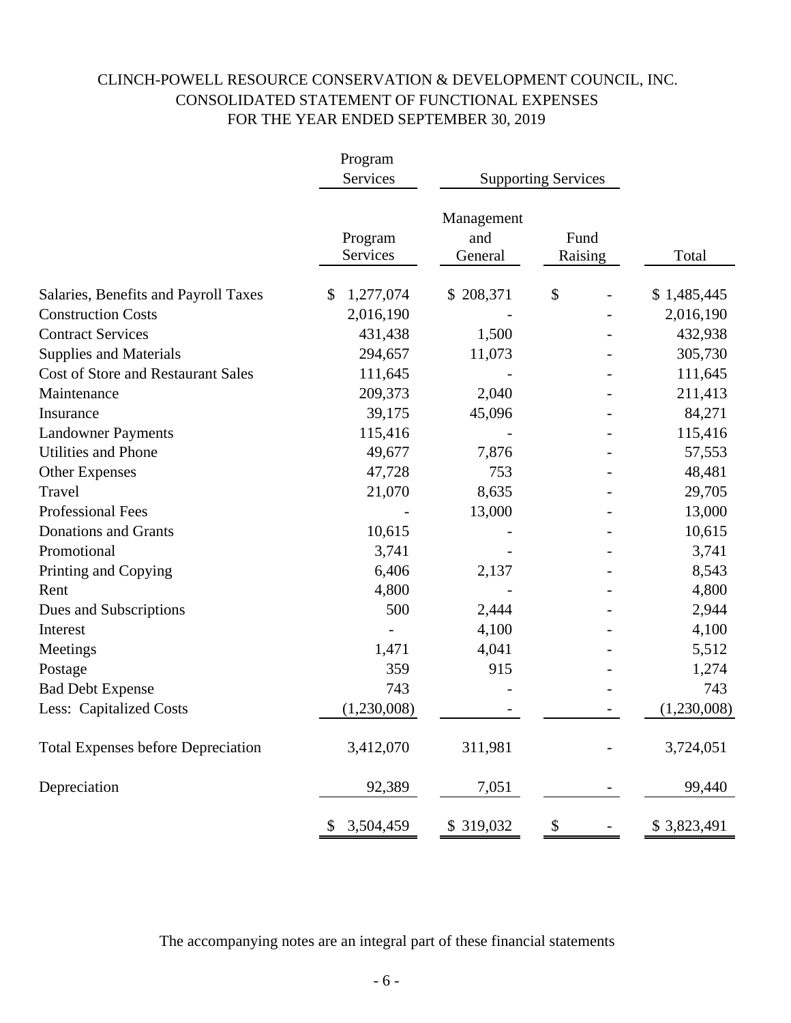# CLINCH-POWELL RESOURCE CONSERVATION & DEVELOPMENT COUNCIL, INC. CONSOLIDATED STATEMENT OF FUNCTIONAL EXPENSES FOR THE YEAR ENDED SEPTEMBER 30, 2019

|                                           | Program                                       |            |                            |             |
|-------------------------------------------|-----------------------------------------------|------------|----------------------------|-------------|
|                                           | <b>Services</b><br><b>Supporting Services</b> |            |                            |             |
|                                           |                                               | Management |                            |             |
|                                           | Program                                       | and        | Fund                       |             |
|                                           | Services                                      | General    | Raising                    | Total       |
| Salaries, Benefits and Payroll Taxes      | 1,277,074<br>\$                               | \$208,371  | \$                         | \$1,485,445 |
| <b>Construction Costs</b>                 | 2,016,190                                     |            |                            | 2,016,190   |
| <b>Contract Services</b>                  | 431,438                                       | 1,500      |                            | 432,938     |
| <b>Supplies and Materials</b>             | 294,657                                       | 11,073     |                            | 305,730     |
| <b>Cost of Store and Restaurant Sales</b> | 111,645                                       |            |                            | 111,645     |
| Maintenance                               | 209,373                                       | 2,040      |                            | 211,413     |
| Insurance                                 | 39,175                                        | 45,096     |                            | 84,271      |
| <b>Landowner Payments</b>                 | 115,416                                       |            |                            | 115,416     |
| <b>Utilities and Phone</b>                | 49,677                                        | 7,876      |                            | 57,553      |
| <b>Other Expenses</b>                     | 47,728                                        | 753        |                            | 48,481      |
| Travel                                    | 21,070                                        | 8,635      |                            | 29,705      |
| <b>Professional Fees</b>                  |                                               | 13,000     |                            | 13,000      |
| <b>Donations and Grants</b>               | 10,615                                        |            |                            | 10,615      |
| Promotional                               | 3,741                                         |            |                            | 3,741       |
| Printing and Copying                      | 6,406                                         | 2,137      |                            | 8,543       |
| Rent                                      | 4,800                                         |            |                            | 4,800       |
| Dues and Subscriptions                    | 500                                           | 2,444      |                            | 2,944       |
| Interest                                  |                                               | 4,100      |                            | 4,100       |
| Meetings                                  | 1,471                                         | 4,041      |                            | 5,512       |
| Postage                                   | 359                                           | 915        |                            | 1,274       |
| <b>Bad Debt Expense</b>                   | 743                                           |            |                            | 743         |
| <b>Less: Capitalized Costs</b>            | (1,230,008)                                   |            |                            | (1,230,008) |
| <b>Total Expenses before Depreciation</b> | 3,412,070                                     | 311,981    |                            | 3,724,051   |
| Depreciation                              | 92,389                                        | 7,051      |                            | 99,440      |
|                                           | 3,504,459<br>\$                               | \$ 319,032 | $\boldsymbol{\mathsf{\$}}$ | \$3,823,491 |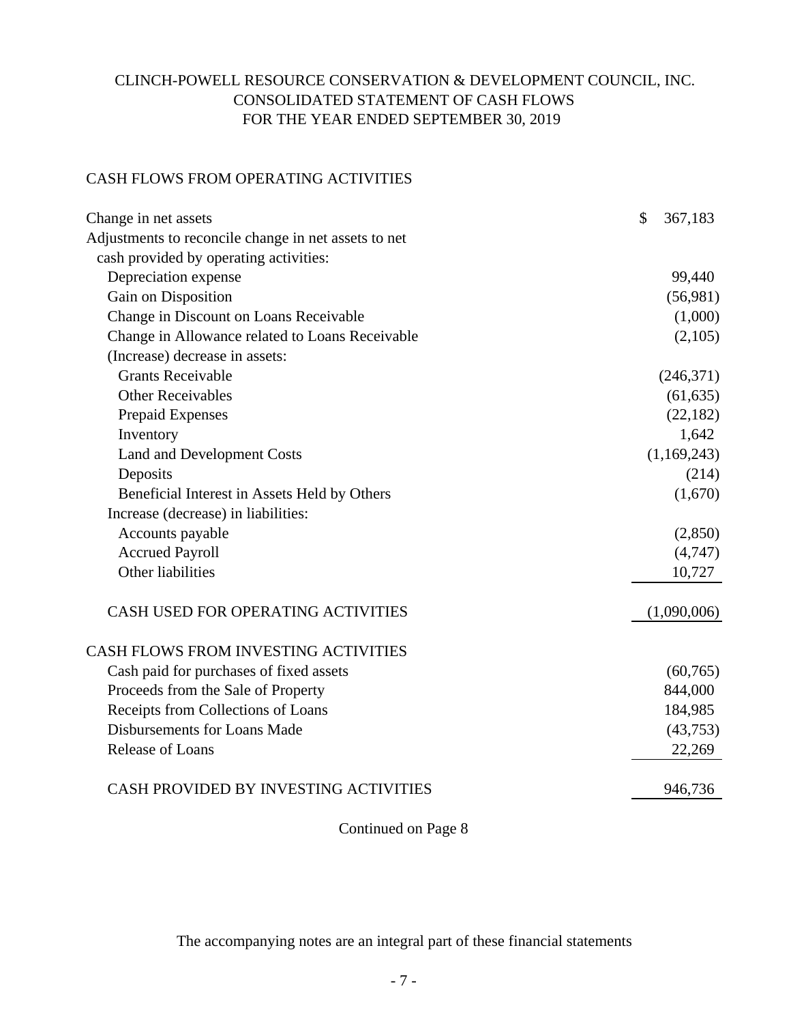# CLINCH-POWELL RESOURCE CONSERVATION & DEVELOPMENT COUNCIL, INC. CONSOLIDATED STATEMENT OF CASH FLOWS FOR THE YEAR ENDED SEPTEMBER 30, 2019

# CASH FLOWS FROM OPERATING ACTIVITIES

| Change in net assets                                 | \$<br>367,183 |
|------------------------------------------------------|---------------|
| Adjustments to reconcile change in net assets to net |               |
| cash provided by operating activities:               |               |
| Depreciation expense                                 | 99,440        |
| Gain on Disposition                                  | (56,981)      |
| Change in Discount on Loans Receivable               | (1,000)       |
| Change in Allowance related to Loans Receivable      | (2,105)       |
| (Increase) decrease in assets:                       |               |
| <b>Grants Receivable</b>                             | (246,371)     |
| <b>Other Receivables</b>                             | (61, 635)     |
| Prepaid Expenses                                     | (22, 182)     |
| Inventory                                            | 1,642         |
| Land and Development Costs                           | (1,169,243)   |
| Deposits                                             | (214)         |
| Beneficial Interest in Assets Held by Others         | (1,670)       |
| Increase (decrease) in liabilities:                  |               |
| Accounts payable                                     | (2,850)       |
| <b>Accrued Payroll</b>                               | (4,747)       |
| Other liabilities                                    | 10,727        |
| CASH USED FOR OPERATING ACTIVITIES                   | (1,090,006)   |
| CASH FLOWS FROM INVESTING ACTIVITIES                 |               |
| Cash paid for purchases of fixed assets              | (60, 765)     |
| Proceeds from the Sale of Property                   | 844,000       |
| Receipts from Collections of Loans                   | 184,985       |
| Disbursements for Loans Made                         | (43,753)      |
| <b>Release of Loans</b>                              | 22,269        |
| CASH PROVIDED BY INVESTING ACTIVITIES                | 946,736       |
|                                                      |               |

Continued on Page 8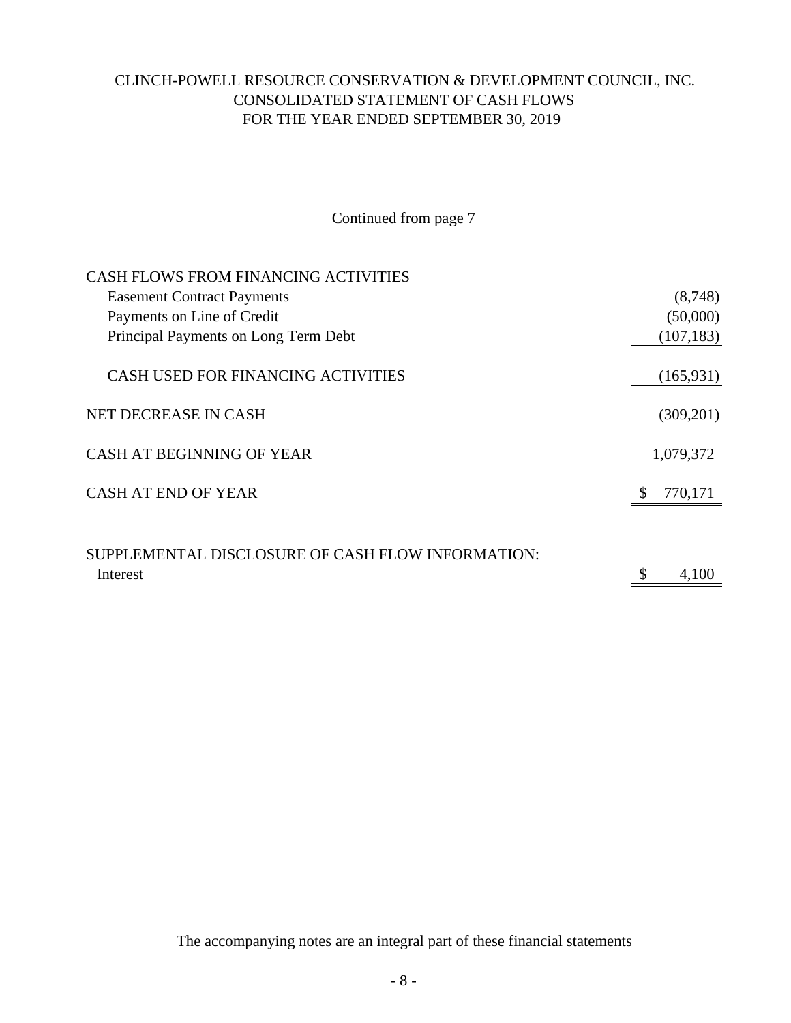# CLINCH-POWELL RESOURCE CONSERVATION & DEVELOPMENT COUNCIL, INC. CONSOLIDATED STATEMENT OF CASH FLOWS FOR THE YEAR ENDED SEPTEMBER 30, 2019

Continued from page 7

| CASH FLOWS FROM FINANCING ACTIVITIES                          |               |
|---------------------------------------------------------------|---------------|
| <b>Easement Contract Payments</b>                             | (8,748)       |
| Payments on Line of Credit                                    | (50,000)      |
| Principal Payments on Long Term Debt                          | (107, 183)    |
| CASH USED FOR FINANCING ACTIVITIES                            | (165, 931)    |
| NET DECREASE IN CASH                                          | (309,201)     |
| CASH AT BEGINNING OF YEAR                                     | 1,079,372     |
| CASH AT END OF YEAR                                           | 770,171<br>S. |
| SUPPLEMENTAL DISCLOSURE OF CASH FLOW INFORMATION:<br>Interest | 4,100         |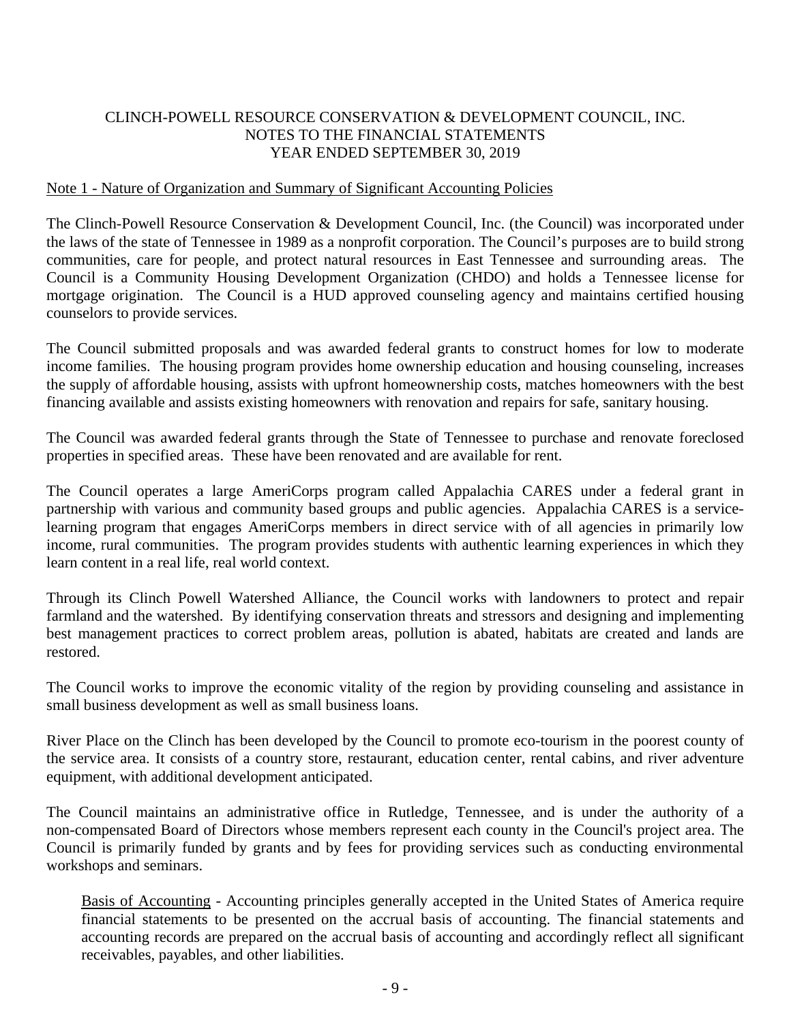# CLINCH-POWELL RESOURCE CONSERVATION & DEVELOPMENT COUNCIL, INC. NOTES TO THE FINANCIAL STATEMENTS YEAR ENDED SEPTEMBER 30, 2019

## Note 1 - Nature of Organization and Summary of Significant Accounting Policies

The Clinch-Powell Resource Conservation & Development Council, Inc. (the Council) was incorporated under the laws of the state of Tennessee in 1989 as a nonprofit corporation. The Council's purposes are to build strong communities, care for people, and protect natural resources in East Tennessee and surrounding areas. The Council is a Community Housing Development Organization (CHDO) and holds a Tennessee license for mortgage origination. The Council is a HUD approved counseling agency and maintains certified housing counselors to provide services.

The Council submitted proposals and was awarded federal grants to construct homes for low to moderate income families. The housing program provides home ownership education and housing counseling, increases the supply of affordable housing, assists with upfront homeownership costs, matches homeowners with the best financing available and assists existing homeowners with renovation and repairs for safe, sanitary housing.

The Council was awarded federal grants through the State of Tennessee to purchase and renovate foreclosed properties in specified areas. These have been renovated and are available for rent.

The Council operates a large AmeriCorps program called Appalachia CARES under a federal grant in partnership with various and community based groups and public agencies. Appalachia CARES is a servicelearning program that engages AmeriCorps members in direct service with of all agencies in primarily low income, rural communities. The program provides students with authentic learning experiences in which they learn content in a real life, real world context.

Through its Clinch Powell Watershed Alliance, the Council works with landowners to protect and repair farmland and the watershed. By identifying conservation threats and stressors and designing and implementing best management practices to correct problem areas, pollution is abated, habitats are created and lands are restored.

The Council works to improve the economic vitality of the region by providing counseling and assistance in small business development as well as small business loans.

River Place on the Clinch has been developed by the Council to promote eco-tourism in the poorest county of the service area. It consists of a country store, restaurant, education center, rental cabins, and river adventure equipment, with additional development anticipated.

The Council maintains an administrative office in Rutledge, Tennessee, and is under the authority of a non-compensated Board of Directors whose members represent each county in the Council's project area. The Council is primarily funded by grants and by fees for providing services such as conducting environmental workshops and seminars.

Basis of Accounting - Accounting principles generally accepted in the United States of America require financial statements to be presented on the accrual basis of accounting. The financial statements and accounting records are prepared on the accrual basis of accounting and accordingly reflect all significant receivables, payables, and other liabilities.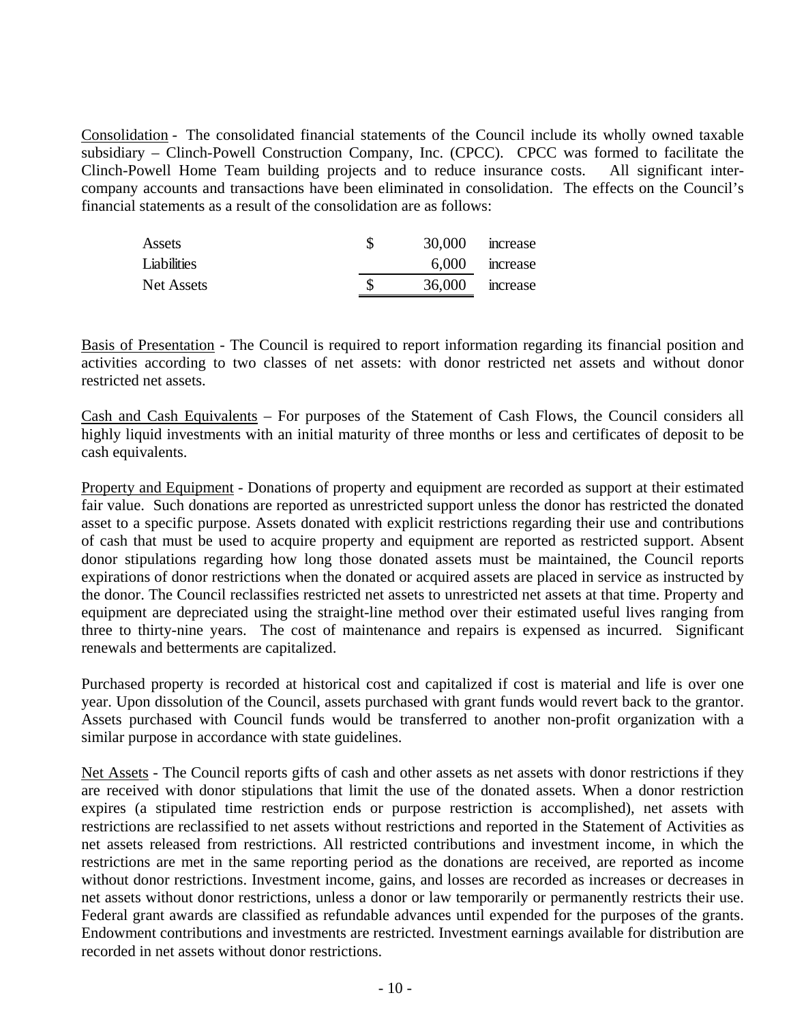Consolidation - The consolidated financial statements of the Council include its wholly owned taxable subsidiary – Clinch-Powell Construction Company, Inc. (CPCC). CPCC was formed to facilitate the Clinch-Powell Home Team building projects and to reduce insurance costs. All significant intercompany accounts and transactions have been eliminated in consolidation. The effects on the Council's financial statements as a result of the consolidation are as follows:

| Assets      |        | 30,000 increase |
|-------------|--------|-----------------|
| Liabilities |        | 6,000 increase  |
| Net Assets  | 36,000 | increase        |

Basis of Presentation - The Council is required to report information regarding its financial position and activities according to two classes of net assets: with donor restricted net assets and without donor restricted net assets.

Cash and Cash Equivalents – For purposes of the Statement of Cash Flows, the Council considers all highly liquid investments with an initial maturity of three months or less and certificates of deposit to be cash equivalents.

Property and Equipment - Donations of property and equipment are recorded as support at their estimated fair value. Such donations are reported as unrestricted support unless the donor has restricted the donated asset to a specific purpose. Assets donated with explicit restrictions regarding their use and contributions of cash that must be used to acquire property and equipment are reported as restricted support. Absent donor stipulations regarding how long those donated assets must be maintained, the Council reports expirations of donor restrictions when the donated or acquired assets are placed in service as instructed by the donor. The Council reclassifies restricted net assets to unrestricted net assets at that time. Property and equipment are depreciated using the straight-line method over their estimated useful lives ranging from three to thirty-nine years. The cost of maintenance and repairs is expensed as incurred. Significant renewals and betterments are capitalized.

Purchased property is recorded at historical cost and capitalized if cost is material and life is over one year. Upon dissolution of the Council, assets purchased with grant funds would revert back to the grantor. Assets purchased with Council funds would be transferred to another non-profit organization with a similar purpose in accordance with state guidelines.

Net Assets - The Council reports gifts of cash and other assets as net assets with donor restrictions if they are received with donor stipulations that limit the use of the donated assets. When a donor restriction expires (a stipulated time restriction ends or purpose restriction is accomplished), net assets with restrictions are reclassified to net assets without restrictions and reported in the Statement of Activities as net assets released from restrictions. All restricted contributions and investment income, in which the restrictions are met in the same reporting period as the donations are received, are reported as income without donor restrictions. Investment income, gains, and losses are recorded as increases or decreases in net assets without donor restrictions, unless a donor or law temporarily or permanently restricts their use. Federal grant awards are classified as refundable advances until expended for the purposes of the grants. Endowment contributions and investments are restricted. Investment earnings available for distribution are recorded in net assets without donor restrictions.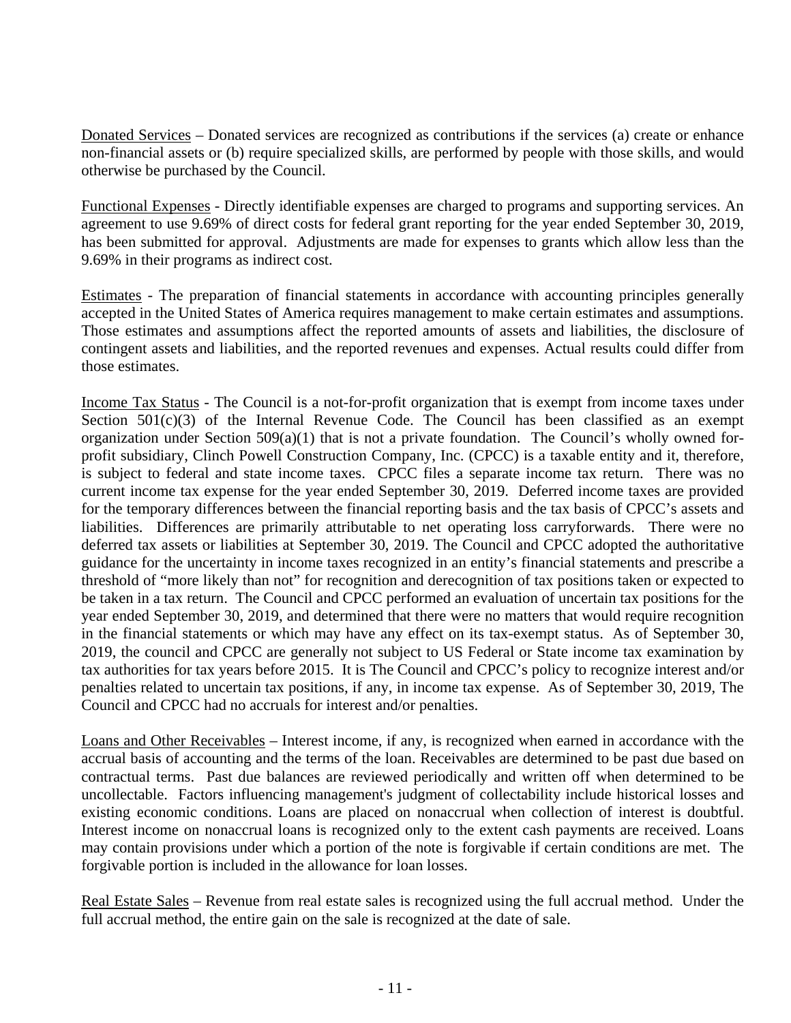Donated Services – Donated services are recognized as contributions if the services (a) create or enhance non-financial assets or (b) require specialized skills*,* are performed by people with those skills*,* and would otherwise be purchased by the Council.

Functional Expenses - Directly identifiable expenses are charged to programs and supporting services. An agreement to use 9.69% of direct costs for federal grant reporting for the year ended September 30, 2019, has been submitted for approval. Adjustments are made for expenses to grants which allow less than the 9.69% in their programs as indirect cost.

Estimates - The preparation of financial statements in accordance with accounting principles generally accepted in the United States of America requires management to make certain estimates and assumptions. Those estimates and assumptions affect the reported amounts of assets and liabilities, the disclosure of contingent assets and liabilities, and the reported revenues and expenses. Actual results could differ from those estimates.

Income Tax Status - The Council is a not-for-profit organization that is exempt from income taxes under Section  $501(c)(3)$  of the Internal Revenue Code. The Council has been classified as an exempt organization under Section 509(a)(1) that is not a private foundation. The Council's wholly owned forprofit subsidiary, Clinch Powell Construction Company, Inc. (CPCC) is a taxable entity and it, therefore, is subject to federal and state income taxes. CPCC files a separate income tax return. There was no current income tax expense for the year ended September 30, 2019. Deferred income taxes are provided for the temporary differences between the financial reporting basis and the tax basis of CPCC's assets and liabilities. Differences are primarily attributable to net operating loss carryforwards. There were no deferred tax assets or liabilities at September 30, 2019. The Council and CPCC adopted the authoritative guidance for the uncertainty in income taxes recognized in an entity's financial statements and prescribe a threshold of "more likely than not" for recognition and derecognition of tax positions taken or expected to be taken in a tax return. The Council and CPCC performed an evaluation of uncertain tax positions for the year ended September 30, 2019, and determined that there were no matters that would require recognition in the financial statements or which may have any effect on its tax-exempt status. As of September 30, 2019, the council and CPCC are generally not subject to US Federal or State income tax examination by tax authorities for tax years before 2015. It is The Council and CPCC's policy to recognize interest and/or penalties related to uncertain tax positions, if any, in income tax expense. As of September 30, 2019, The Council and CPCC had no accruals for interest and/or penalties.

Loans and Other Receivables – Interest income, if any, is recognized when earned in accordance with the accrual basis of accounting and the terms of the loan. Receivables are determined to be past due based on contractual terms. Past due balances are reviewed periodically and written off when determined to be uncollectable. Factors influencing management's judgment of collectability include historical losses and existing economic conditions. Loans are placed on nonaccrual when collection of interest is doubtful. Interest income on nonaccrual loans is recognized only to the extent cash payments are received. Loans may contain provisions under which a portion of the note is forgivable if certain conditions are met. The forgivable portion is included in the allowance for loan losses.

Real Estate Sales – Revenue from real estate sales is recognized using the full accrual method. Under the full accrual method, the entire gain on the sale is recognized at the date of sale.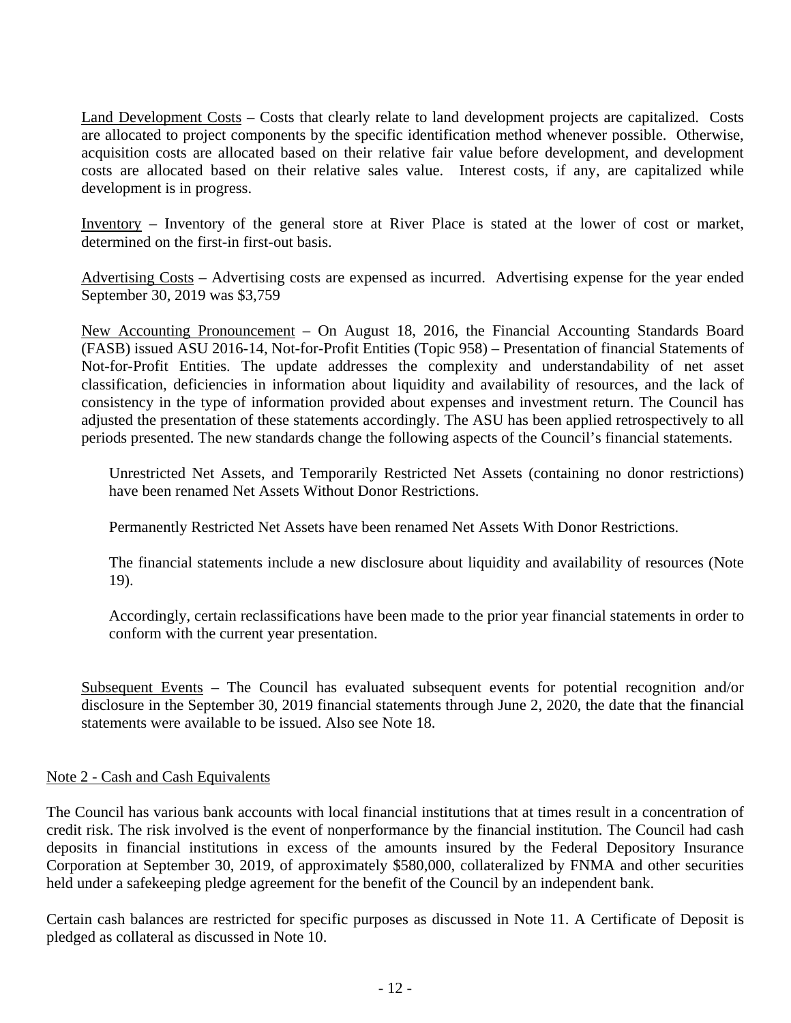Land Development Costs – Costs that clearly relate to land development projects are capitalized. Costs are allocated to project components by the specific identification method whenever possible. Otherwise, acquisition costs are allocated based on their relative fair value before development, and development costs are allocated based on their relative sales value. Interest costs, if any, are capitalized while development is in progress.

Inventory – Inventory of the general store at River Place is stated at the lower of cost or market, determined on the first-in first-out basis.

Advertising Costs – Advertising costs are expensed as incurred. Advertising expense for the year ended September 30, 2019 was \$3,759

New Accounting Pronouncement – On August 18, 2016, the Financial Accounting Standards Board (FASB) issued ASU 2016-14, Not-for-Profit Entities (Topic 958) – Presentation of financial Statements of Not-for-Profit Entities. The update addresses the complexity and understandability of net asset classification, deficiencies in information about liquidity and availability of resources, and the lack of consistency in the type of information provided about expenses and investment return. The Council has adjusted the presentation of these statements accordingly. The ASU has been applied retrospectively to all periods presented. The new standards change the following aspects of the Council's financial statements.

Unrestricted Net Assets, and Temporarily Restricted Net Assets (containing no donor restrictions) have been renamed Net Assets Without Donor Restrictions.

Permanently Restricted Net Assets have been renamed Net Assets With Donor Restrictions.

The financial statements include a new disclosure about liquidity and availability of resources (Note 19).

Accordingly, certain reclassifications have been made to the prior year financial statements in order to conform with the current year presentation.

Subsequent Events – The Council has evaluated subsequent events for potential recognition and/or disclosure in the September 30, 2019 financial statements through June 2, 2020, the date that the financial statements were available to be issued. Also see Note 18.

### Note 2 - Cash and Cash Equivalents

The Council has various bank accounts with local financial institutions that at times result in a concentration of credit risk. The risk involved is the event of nonperformance by the financial institution. The Council had cash deposits in financial institutions in excess of the amounts insured by the Federal Depository Insurance Corporation at September 30, 2019, of approximately \$580,000, collateralized by FNMA and other securities held under a safekeeping pledge agreement for the benefit of the Council by an independent bank.

Certain cash balances are restricted for specific purposes as discussed in Note 11. A Certificate of Deposit is pledged as collateral as discussed in Note 10.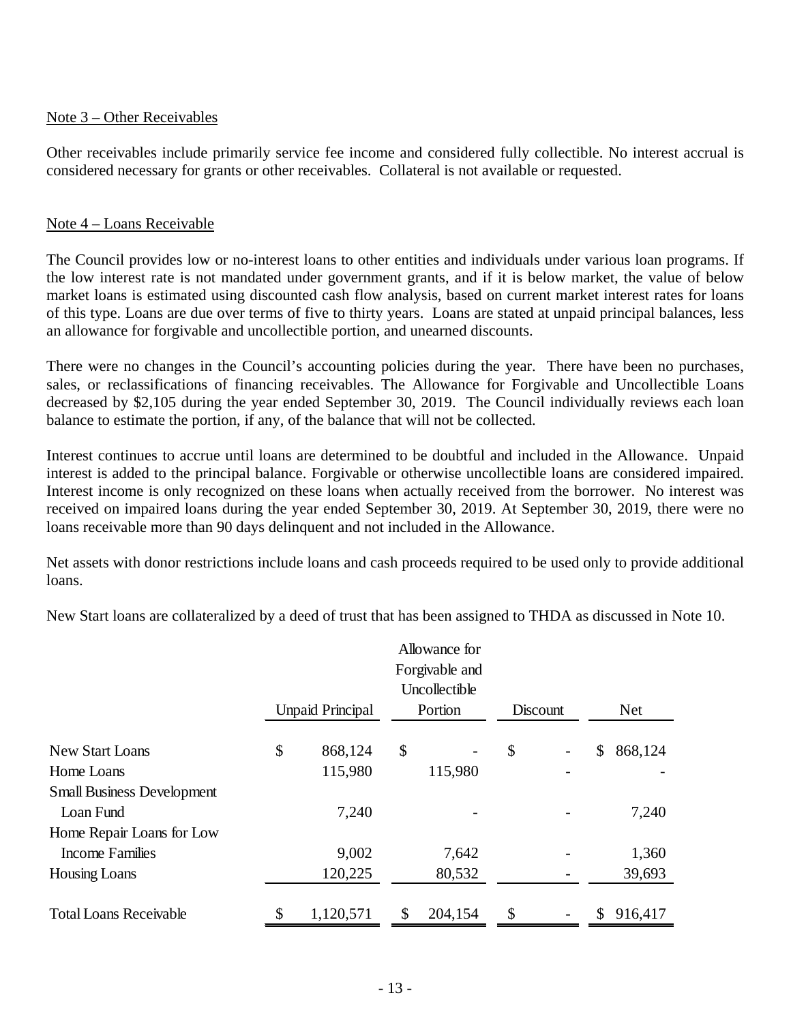# Note 3 – Other Receivables

Other receivables include primarily service fee income and considered fully collectible. No interest accrual is considered necessary for grants or other receivables. Collateral is not available or requested.

### Note 4 – Loans Receivable

The Council provides low or no-interest loans to other entities and individuals under various loan programs. If the low interest rate is not mandated under government grants, and if it is below market, the value of below market loans is estimated using discounted cash flow analysis, based on current market interest rates for loans of this type. Loans are due over terms of five to thirty years. Loans are stated at unpaid principal balances, less an allowance for forgivable and uncollectible portion, and unearned discounts.

There were no changes in the Council's accounting policies during the year. There have been no purchases, sales, or reclassifications of financing receivables. The Allowance for Forgivable and Uncollectible Loans decreased by \$2,105 during the year ended September 30, 2019. The Council individually reviews each loan balance to estimate the portion, if any, of the balance that will not be collected.

Interest continues to accrue until loans are determined to be doubtful and included in the Allowance. Unpaid interest is added to the principal balance. Forgivable or otherwise uncollectible loans are considered impaired. Interest income is only recognized on these loans when actually received from the borrower. No interest was received on impaired loans during the year ended September 30, 2019. At September 30, 2019, there were no loans receivable more than 90 days delinquent and not included in the Allowance.

Net assets with donor restrictions include loans and cash proceeds required to be used only to provide additional loans.

New Start loans are collateralized by a deed of trust that has been assigned to THDA as discussed in Note 10.

|                                   |    | <b>Unpaid Principal</b> | Allowance for<br>Forgivable and<br>Uncollectible<br>Portion | Discount                       | Net           |
|-----------------------------------|----|-------------------------|-------------------------------------------------------------|--------------------------------|---------------|
|                                   |    |                         |                                                             |                                |               |
| <b>New Start Loans</b>            | \$ | 868,124                 | \$                                                          | \$<br>$\overline{\phantom{a}}$ | \$<br>868,124 |
| Home Loans                        |    | 115,980                 | 115,980                                                     |                                |               |
| <b>Small Business Development</b> |    |                         |                                                             |                                |               |
| Loan Fund                         |    | 7,240                   |                                                             |                                | 7,240         |
| Home Repair Loans for Low         |    |                         |                                                             |                                |               |
| Income Families                   |    | 9,002                   | 7,642                                                       |                                | 1,360         |
| Housing Loans                     |    | 120,225                 | 80,532                                                      |                                | 39,693        |
| <b>Total Loans Receivable</b>     | \$ | 1,120,571               | \$<br>204,154                                               | \$                             | \$<br>916,417 |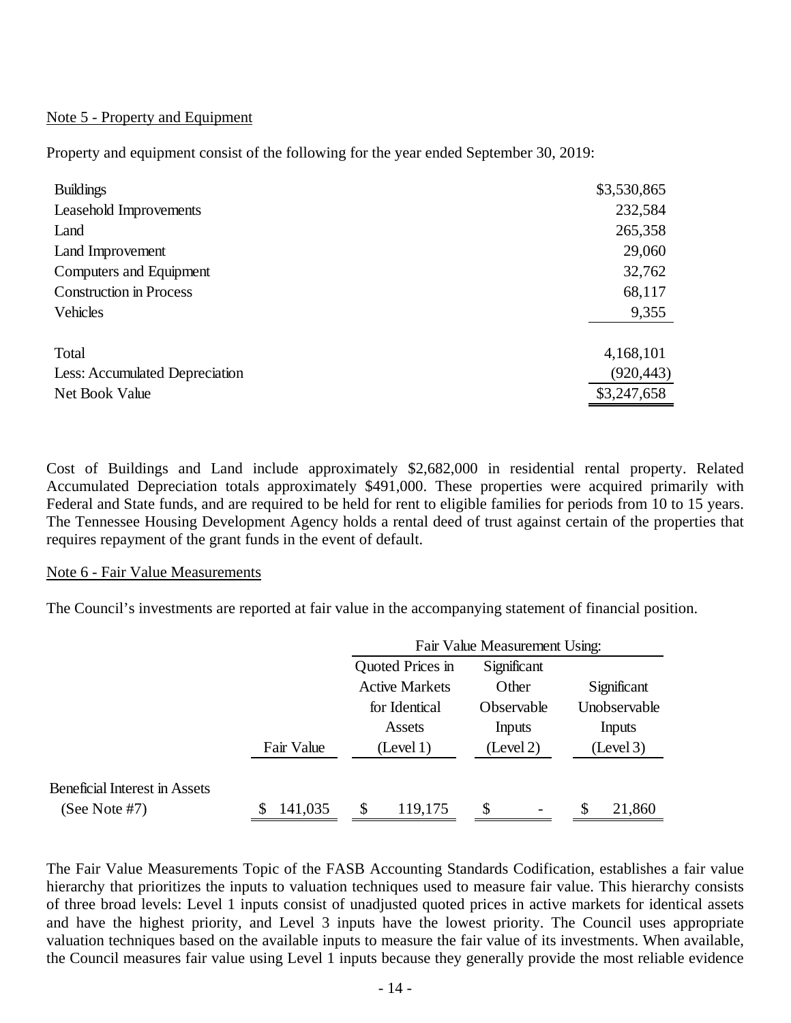## Note 5 - Property and Equipment

Property and equipment consist of the following for the year ended September 30, 2019:

| <b>Buildings</b>               | \$3,530,865 |
|--------------------------------|-------------|
| Leasehold Improvements         | 232,584     |
| Land                           | 265,358     |
| Land Improvement               | 29,060      |
| Computers and Equipment        | 32,762      |
| <b>Construction in Process</b> | 68,117      |
| Vehicles                       | 9,355       |
|                                |             |
| Total                          | 4,168,101   |
| Less: Accumulated Depreciation | (920, 443)  |
| Net Book Value                 | \$3,247,658 |

Cost of Buildings and Land include approximately \$2,682,000 in residential rental property. Related Accumulated Depreciation totals approximately \$491,000. These properties were acquired primarily with Federal and State funds, and are required to be held for rent to eligible families for periods from 10 to 15 years. The Tennessee Housing Development Agency holds a rental deed of trust against certain of the properties that requires repayment of the grant funds in the event of default.

### Note 6 - Fair Value Measurements

The Council's investments are reported at fair value in the accompanying statement of financial position.

|                                      |               | Fair Value Measurement Using: |                                |              |  |  |  |  |
|--------------------------------------|---------------|-------------------------------|--------------------------------|--------------|--|--|--|--|
|                                      |               | Quoted Prices in              | Significant                    |              |  |  |  |  |
|                                      |               | <b>Active Markets</b>         | Other                          | Significant  |  |  |  |  |
|                                      |               | for Identical                 | Observable                     | Unobservable |  |  |  |  |
|                                      |               | Assets<br>Inputs              |                                | Inputs       |  |  |  |  |
|                                      | Fair Value    | (Level 1)                     | (Level 2)                      | (Level 3)    |  |  |  |  |
| <b>Beneficial Interest in Assets</b> |               |                               |                                |              |  |  |  |  |
| (See Note #7)                        | 141,035<br>S. | 119,175<br><sup>\$</sup>      | \$<br>$\overline{\phantom{a}}$ | S<br>21,860  |  |  |  |  |

The Fair Value Measurements Topic of the FASB Accounting Standards Codification, establishes a fair value hierarchy that prioritizes the inputs to valuation techniques used to measure fair value. This hierarchy consists of three broad levels: Level 1 inputs consist of unadjusted quoted prices in active markets for identical assets and have the highest priority, and Level 3 inputs have the lowest priority. The Council uses appropriate valuation techniques based on the available inputs to measure the fair value of its investments. When available, the Council measures fair value using Level 1 inputs because they generally provide the most reliable evidence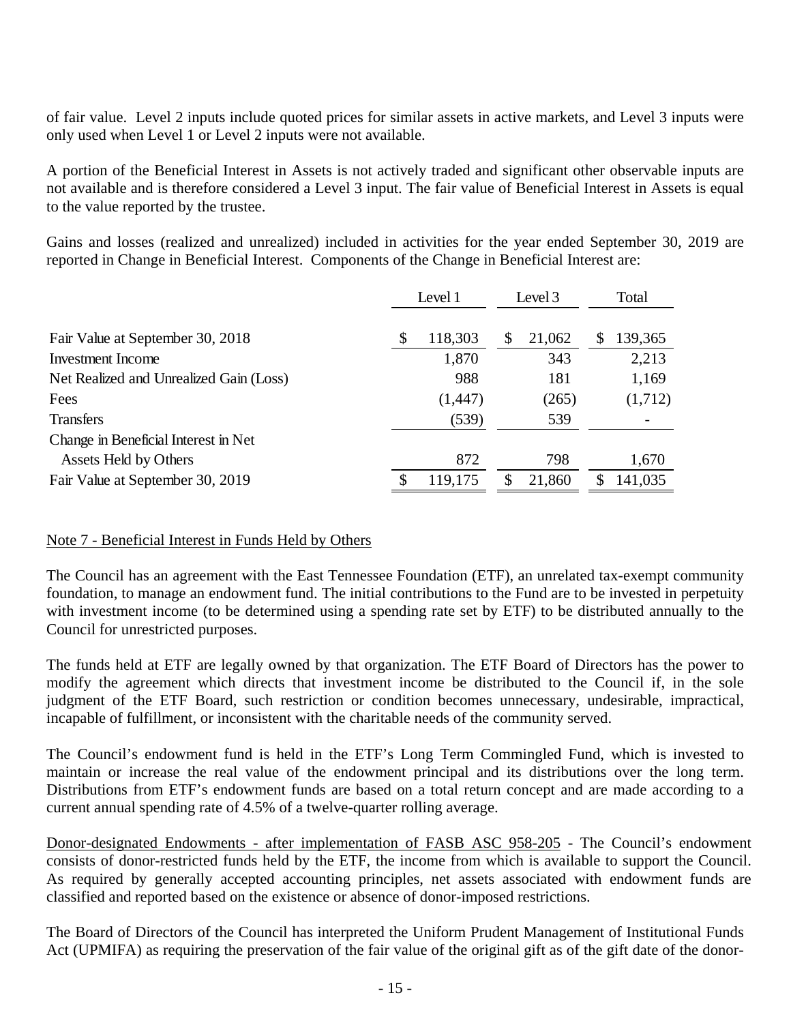of fair value. Level 2 inputs include quoted prices for similar assets in active markets, and Level 3 inputs were only used when Level 1 or Level 2 inputs were not available.

A portion of the Beneficial Interest in Assets is not actively traded and significant other observable inputs are not available and is therefore considered a Level 3 input. The fair value of Beneficial Interest in Assets is equal to the value reported by the trustee.

Gains and losses (realized and unrealized) included in activities for the year ended September 30, 2019 are reported in Change in Beneficial Interest. Components of the Change in Beneficial Interest are:

|                                         | Level 1 |          | Level 3 |        | Total         |
|-----------------------------------------|---------|----------|---------|--------|---------------|
|                                         |         |          |         |        |               |
| Fair Value at September 30, 2018        | \$      | 118,303  | S       | 21,062 | \$<br>139,365 |
| <b>Investment Income</b>                |         | 1,870    |         | 343    | 2,213         |
| Net Realized and Unrealized Gain (Loss) |         | 988      |         | 181    | 1,169         |
| Fees                                    |         | (1, 447) |         | (265)  | (1,712)       |
| <b>Transfers</b>                        |         | (539)    |         | 539    |               |
| Change in Beneficial Interest in Net    |         |          |         |        |               |
| Assets Held by Others                   |         | 872      |         | 798    | 1,670         |
| Fair Value at September 30, 2019        |         | 119,175  |         | 21,860 | 141,035       |

# Note 7 - Beneficial Interest in Funds Held by Others

The Council has an agreement with the East Tennessee Foundation (ETF), an unrelated tax-exempt community foundation, to manage an endowment fund. The initial contributions to the Fund are to be invested in perpetuity with investment income (to be determined using a spending rate set by ETF) to be distributed annually to the Council for unrestricted purposes.

The funds held at ETF are legally owned by that organization. The ETF Board of Directors has the power to modify the agreement which directs that investment income be distributed to the Council if, in the sole judgment of the ETF Board, such restriction or condition becomes unnecessary, undesirable, impractical, incapable of fulfillment, or inconsistent with the charitable needs of the community served.

The Council's endowment fund is held in the ETF's Long Term Commingled Fund, which is invested to maintain or increase the real value of the endowment principal and its distributions over the long term. Distributions from ETF's endowment funds are based on a total return concept and are made according to a current annual spending rate of 4.5% of a twelve-quarter rolling average.

Donor-designated Endowments - after implementation of FASB ASC 958-205 - The Council's endowment consists of donor-restricted funds held by the ETF, the income from which is available to support the Council. As required by generally accepted accounting principles, net assets associated with endowment funds are classified and reported based on the existence or absence of donor-imposed restrictions.

The Board of Directors of the Council has interpreted the Uniform Prudent Management of Institutional Funds Act (UPMIFA) as requiring the preservation of the fair value of the original gift as of the gift date of the donor-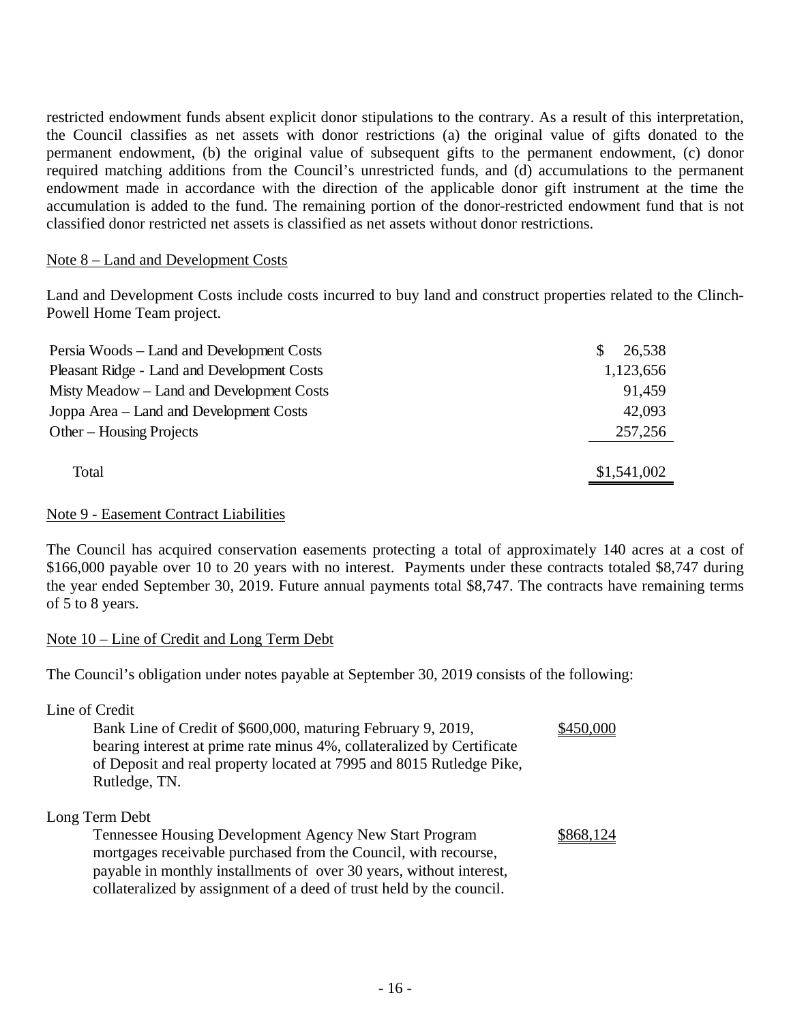restricted endowment funds absent explicit donor stipulations to the contrary. As a result of this interpretation, the Council classifies as net assets with donor restrictions (a) the original value of gifts donated to the permanent endowment, (b) the original value of subsequent gifts to the permanent endowment, (c) donor required matching additions from the Council's unrestricted funds, and (d) accumulations to the permanent endowment made in accordance with the direction of the applicable donor gift instrument at the time the accumulation is added to the fund. The remaining portion of the donor-restricted endowment fund that is not classified donor restricted net assets is classified as net assets without donor restrictions.

## Note 8 – Land and Development Costs

Land and Development Costs include costs incurred to buy land and construct properties related to the Clinch-Powell Home Team project.

| Persia Woods – Land and Development Costs   | 26,538      |
|---------------------------------------------|-------------|
| Pleasant Ridge - Land and Development Costs | 1,123,656   |
| Misty Meadow – Land and Development Costs   | 91.459      |
| Joppa Area – Land and Development Costs     | 42,093      |
| Other – Housing Projects                    | 257,256     |
| Total                                       | \$1,541,002 |

### Note 9 - Easement Contract Liabilities

The Council has acquired conservation easements protecting a total of approximately 140 acres at a cost of \$166,000 payable over 10 to 20 years with no interest. Payments under these contracts totaled \$8,747 during the year ended September 30, 2019. Future annual payments total \$8,747. The contracts have remaining terms of 5 to 8 years.

### Note 10 – Line of Credit and Long Term Debt

The Council's obligation under notes payable at September 30, 2019 consists of the following:

| Line of Credit                                                                                                                                                                                                                                                           |  |
|--------------------------------------------------------------------------------------------------------------------------------------------------------------------------------------------------------------------------------------------------------------------------|--|
| Bank Line of Credit of \$600,000, maturing February 9, 2019,<br>bearing interest at prime rate minus 4%, collateralized by Certificate<br>of Deposit and real property located at 7995 and 8015 Rutledge Pike,<br>Rutledge, TN.                                          |  |
| Long Term Debt                                                                                                                                                                                                                                                           |  |
| Tennessee Housing Development Agency New Start Program<br>mortgages receivable purchased from the Council, with recourse,<br>payable in monthly installments of over 30 years, without interest,<br>collateralized by assignment of a deed of trust held by the council. |  |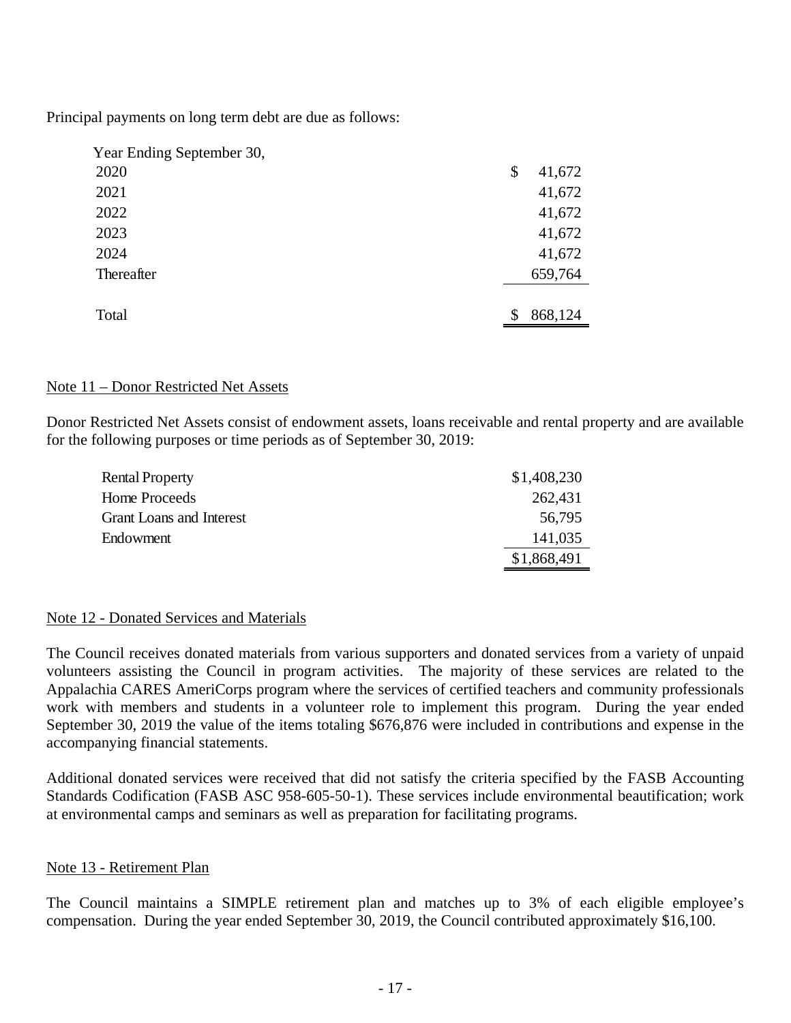Principal payments on long term debt are due as follows:

| Year Ending September 30, |    |         |
|---------------------------|----|---------|
| 2020                      | \$ | 41,672  |
| 2021                      |    | 41,672  |
| 2022                      |    | 41,672  |
| 2023                      |    | 41,672  |
| 2024                      |    | 41,672  |
| Thereafter                |    | 659,764 |
|                           |    |         |
| Total                     | S  | 868,124 |

## Note 11 – Donor Restricted Net Assets

Donor Restricted Net Assets consist of endowment assets, loans receivable and rental property and are available for the following purposes or time periods as of September 30, 2019:

| <b>Rental Property</b>          | \$1,408,230 |
|---------------------------------|-------------|
| Home Proceeds                   | 262,431     |
| <b>Grant Loans and Interest</b> | 56,795      |
| Endowment                       | 141,035     |
|                                 | \$1,868,491 |

### Note 12 - Donated Services and Materials

The Council receives donated materials from various supporters and donated services from a variety of unpaid volunteers assisting the Council in program activities. The majority of these services are related to the Appalachia CARES AmeriCorps program where the services of certified teachers and community professionals work with members and students in a volunteer role to implement this program. During the year ended September 30, 2019 the value of the items totaling \$676,876 were included in contributions and expense in the accompanying financial statements.

Additional donated services were received that did not satisfy the criteria specified by the FASB Accounting Standards Codification (FASB ASC 958-605-50-1). These services include environmental beautification; work at environmental camps and seminars as well as preparation for facilitating programs.

### Note 13 - Retirement Plan

The Council maintains a SIMPLE retirement plan and matches up to 3% of each eligible employee's compensation. During the year ended September 30, 2019, the Council contributed approximately \$16,100.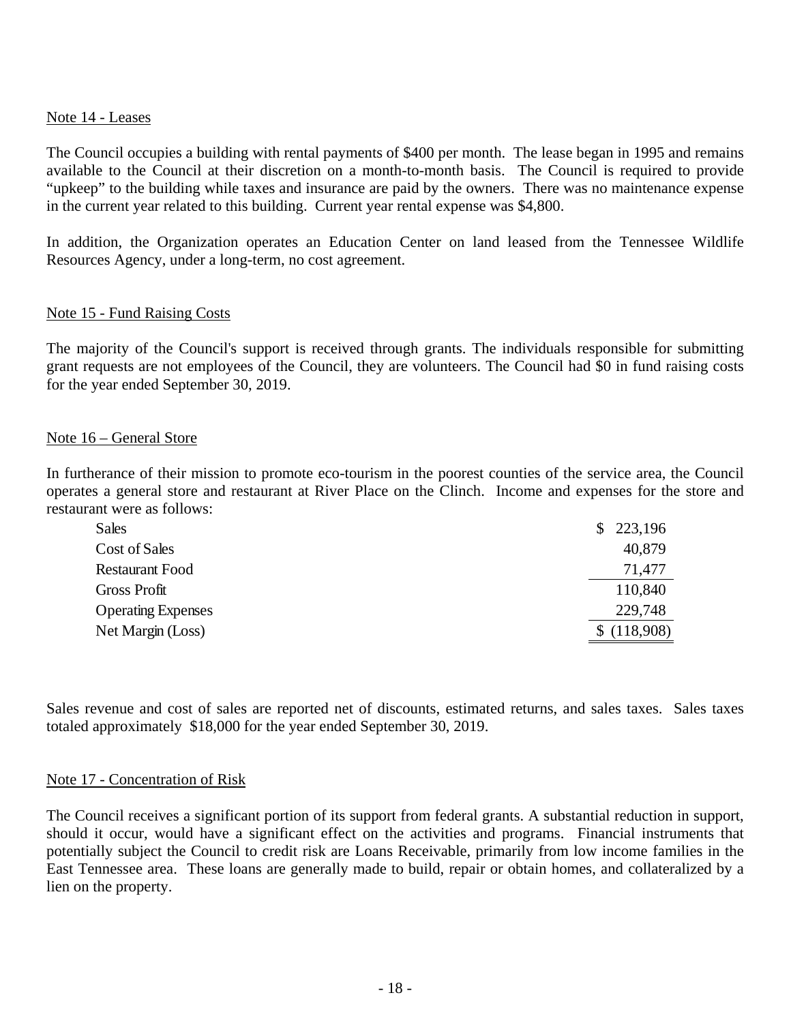#### Note 14 - Leases

The Council occupies a building with rental payments of \$400 per month. The lease began in 1995 and remains available to the Council at their discretion on a month-to-month basis. The Council is required to provide "upkeep" to the building while taxes and insurance are paid by the owners. There was no maintenance expense in the current year related to this building. Current year rental expense was \$4,800.

In addition, the Organization operates an Education Center on land leased from the Tennessee Wildlife Resources Agency, under a long-term, no cost agreement.

### Note 15 - Fund Raising Costs

The majority of the Council's support is received through grants. The individuals responsible for submitting grant requests are not employees of the Council, they are volunteers. The Council had \$0 in fund raising costs for the year ended September 30, 2019.

#### Note 16 – General Store

In furtherance of their mission to promote eco-tourism in the poorest counties of the service area, the Council operates a general store and restaurant at River Place on the Clinch. Income and expenses for the store and restaurant were as follows:

| Sales                     | \$223,196   |
|---------------------------|-------------|
| Cost of Sales             | 40,879      |
| <b>Restaurant Food</b>    | 71,477      |
| <b>Gross Profit</b>       | 110,840     |
| <b>Operating Expenses</b> | 229,748     |
| Net Margin (Loss)         | \$(118,908) |

Sales revenue and cost of sales are reported net of discounts, estimated returns, and sales taxes. Sales taxes totaled approximately \$18,000 for the year ended September 30, 2019.

#### Note 17 - Concentration of Risk

The Council receives a significant portion of its support from federal grants. A substantial reduction in support, should it occur, would have a significant effect on the activities and programs. Financial instruments that potentially subject the Council to credit risk are Loans Receivable, primarily from low income families in the East Tennessee area. These loans are generally made to build, repair or obtain homes, and collateralized by a lien on the property.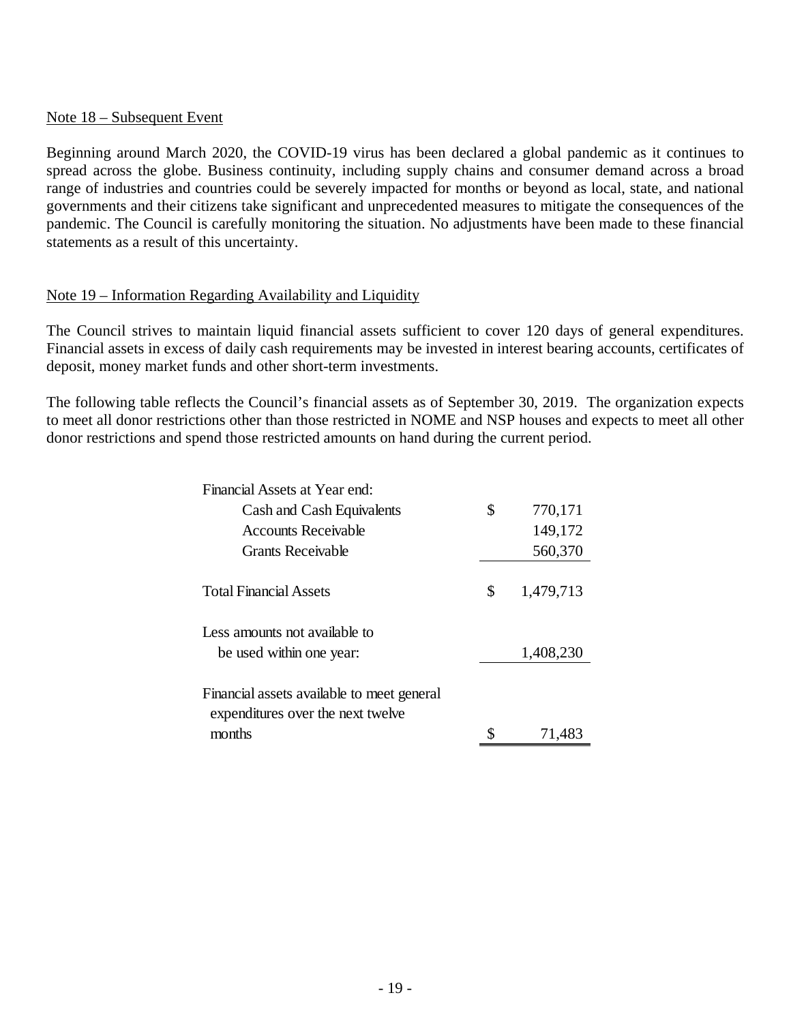## Note 18 – Subsequent Event

Beginning around March 2020, the COVID-19 virus has been declared a global pandemic as it continues to spread across the globe. Business continuity, including supply chains and consumer demand across a broad range of industries and countries could be severely impacted for months or beyond as local, state, and national governments and their citizens take significant and unprecedented measures to mitigate the consequences of the pandemic. The Council is carefully monitoring the situation. No adjustments have been made to these financial statements as a result of this uncertainty.

# Note 19 – Information Regarding Availability and Liquidity

The Council strives to maintain liquid financial assets sufficient to cover 120 days of general expenditures. Financial assets in excess of daily cash requirements may be invested in interest bearing accounts, certificates of deposit, money market funds and other short-term investments.

The following table reflects the Council's financial assets as of September 30, 2019. The organization expects to meet all donor restrictions other than those restricted in NOME and NSP houses and expects to meet all other donor restrictions and spend those restricted amounts on hand during the current period.

| Financial Assets at Year end:                                                   |                 |
|---------------------------------------------------------------------------------|-----------------|
| Cash and Cash Equivalents                                                       | \$<br>770,171   |
| <b>Accounts Receivable</b>                                                      | 149,172         |
| Grants Receivable                                                               | 560,370         |
| <b>Total Financial Assets</b>                                                   | \$<br>1,479,713 |
| Less amounts not available to                                                   |                 |
| be used within one year:                                                        | 1,408,230       |
| Financial assets available to meet general<br>expenditures over the next twelve |                 |
| months                                                                          | 71,483          |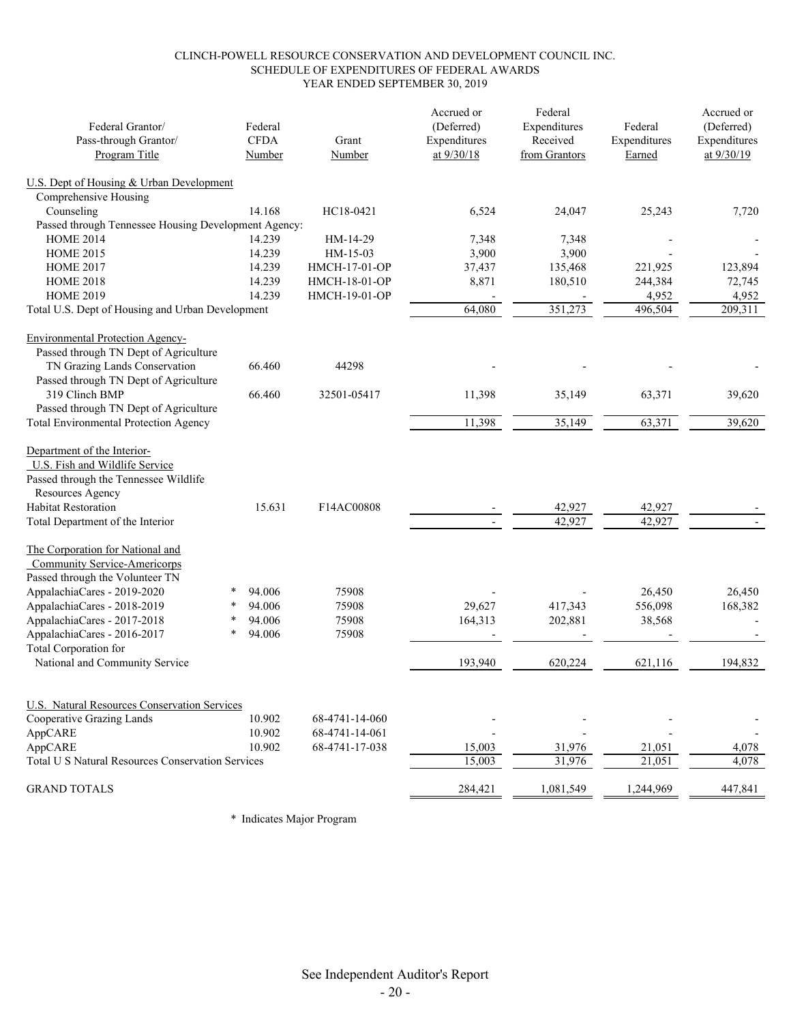#### YEAR ENDED SEPTEMBER 30, 2019 CLINCH-POWELL RESOURCE CONSERVATION AND DEVELOPMENT COUNCIL INC. SCHEDULE OF EXPENDITURES OF FEDERAL AWARDS

|                                                         |                  |                                  | Accrued or   | Federal       |              | Accrued or   |
|---------------------------------------------------------|------------------|----------------------------------|--------------|---------------|--------------|--------------|
| Federal Grantor/                                        | Federal          |                                  | (Deferred)   | Expenditures  | Federal      | (Deferred)   |
| Pass-through Grantor/                                   | <b>CFDA</b>      | Grant                            | Expenditures | Received      | Expenditures | Expenditures |
| Program Title                                           | Number           | Number                           | at 9/30/18   | from Grantors | Earned       | at 9/30/19   |
| U.S. Dept of Housing & Urban Development                |                  |                                  |              |               |              |              |
| Comprehensive Housing                                   |                  |                                  |              |               |              |              |
| Counseling                                              | 14.168           | HC18-0421                        | 6,524        | 24,047        | 25,243       | 7,720        |
| Passed through Tennessee Housing Development Agency:    |                  |                                  |              |               |              |              |
| <b>HOME 2014</b>                                        | 14.239           | HM-14-29                         | 7,348        | 7,348         |              |              |
| <b>HOME 2015</b>                                        | 14.239           | $HM-15-03$                       | 3,900        | 3,900         |              |              |
| <b>HOME 2017</b>                                        | 14.239           | HMCH-17-01-OP                    | 37,437       | 135,468       | 221,925      | 123,894      |
| <b>HOME 2018</b>                                        | 14.239           | HMCH-18-01-OP                    | 8,871        | 180,510       | 244,384      | 72,745       |
| <b>HOME 2019</b>                                        | 14.239           | HMCH-19-01-OP                    |              |               | 4,952        | 4,952        |
| Total U.S. Dept of Housing and Urban Development        |                  |                                  | 64,080       | 351,273       | 496,504      | 209,311      |
|                                                         |                  |                                  |              |               |              |              |
| <b>Environmental Protection Agency-</b>                 |                  |                                  |              |               |              |              |
| Passed through TN Dept of Agriculture                   |                  |                                  |              |               |              |              |
| TN Grazing Lands Conservation                           | 66.460           | 44298                            |              |               |              |              |
| Passed through TN Dept of Agriculture<br>319 Clinch BMP |                  |                                  |              |               |              |              |
|                                                         | 66.460           | 32501-05417                      | 11,398       | 35,149        | 63,371       | 39,620       |
| Passed through TN Dept of Agriculture                   |                  |                                  |              |               |              |              |
| <b>Total Environmental Protection Agency</b>            |                  |                                  | 11,398       | 35,149        | 63,371       | 39,620       |
| Department of the Interior-                             |                  |                                  |              |               |              |              |
| U.S. Fish and Wildlife Service                          |                  |                                  |              |               |              |              |
| Passed through the Tennessee Wildlife                   |                  |                                  |              |               |              |              |
| Resources Agency                                        |                  |                                  |              |               |              |              |
| <b>Habitat Restoration</b>                              | 15.631           | F14AC00808                       |              | 42,927        | 42,927       |              |
| Total Department of the Interior                        |                  |                                  |              | 42,927        | 42,927       |              |
|                                                         |                  |                                  |              |               |              |              |
| The Corporation for National and                        |                  |                                  |              |               |              |              |
| <b>Community Service-Americorps</b>                     |                  |                                  |              |               |              |              |
| Passed through the Volunteer TN                         |                  |                                  |              |               |              |              |
| AppalachiaCares - 2019-2020                             | *<br>94.006      | 75908                            |              |               | 26,450       | 26,450       |
| AppalachiaCares - 2018-2019                             | 94.006           | 75908                            | 29,627       | 417,343       | 556,098      | 168,382      |
| AppalachiaCares - 2017-2018                             | 94.006           | 75908                            | 164,313      | 202,881       | 38,568       |              |
| AppalachiaCares - 2016-2017                             | 94.006           | 75908                            |              |               |              |              |
| Total Corporation for                                   |                  |                                  |              |               |              |              |
| National and Community Service                          |                  |                                  | 193,940      | 620,224       | 621,116      | 194,832      |
|                                                         |                  |                                  |              |               |              |              |
| <b>U.S. Natural Resources Conservation Services</b>     |                  |                                  |              |               |              |              |
| Cooperative Grazing Lands                               |                  |                                  |              |               |              |              |
|                                                         | 10.902<br>10.902 | 68-4741-14-060<br>68-4741-14-061 |              |               |              |              |
| AppCARE                                                 | 10.902           |                                  |              |               | 21,051       |              |
| AppCARE                                                 |                  | 68-4741-17-038                   | 15,003       | 31,976        |              | 4,078        |
| Total U S Natural Resources Conservation Services       |                  |                                  | 15,003       | 31,976        | 21,051       | 4,078        |
| <b>GRAND TOTALS</b>                                     |                  |                                  | 284,421      | 1,081,549     | 1,244,969    | 447,841      |
|                                                         |                  |                                  |              |               |              |              |

\* Indicates Major Program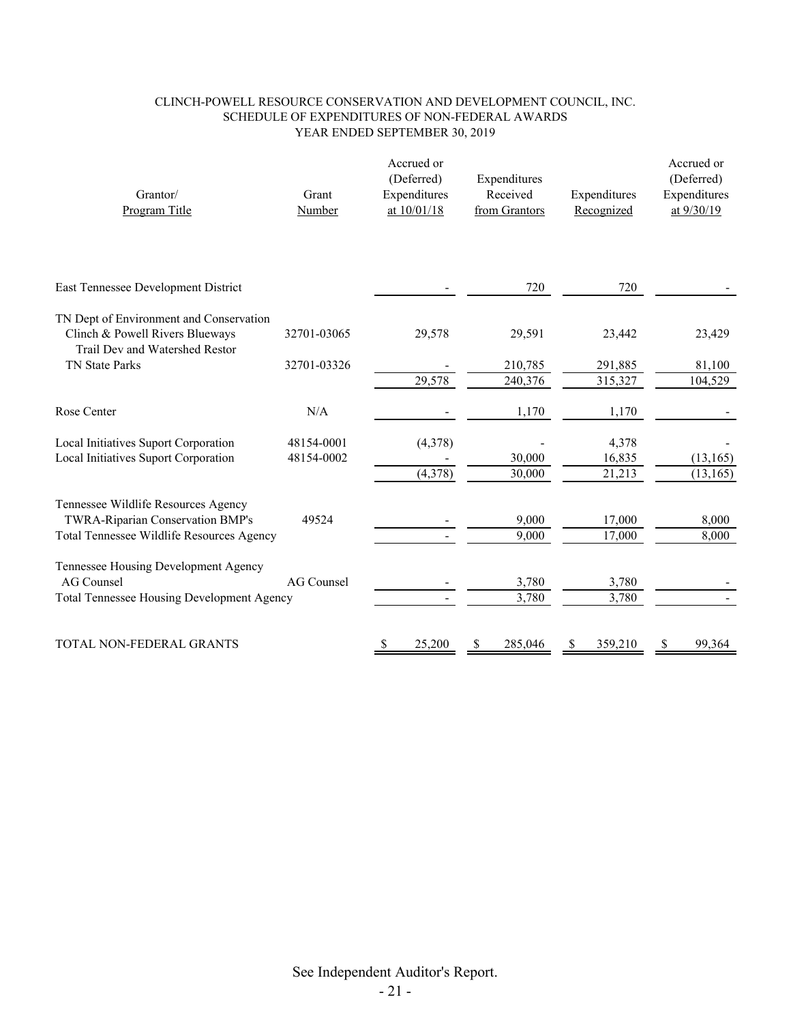#### CLINCH-POWELL RESOURCE CONSERVATION AND DEVELOPMENT COUNCIL, INC. SCHEDULE OF EXPENDITURES OF NON-FEDERAL AWARDS YEAR ENDED SEPTEMBER 30, 2019

| Grantor/<br>Program Title                                                                                            | Grant<br>Number          | Accrued or<br>(Deferred)<br>Expenditures<br>at 10/01/18 | Expenditures<br>Received<br>from Grantors | Expenditures<br>Recognized | Accrued or<br>(Deferred)<br>Expenditures<br>at 9/30/19 |
|----------------------------------------------------------------------------------------------------------------------|--------------------------|---------------------------------------------------------|-------------------------------------------|----------------------------|--------------------------------------------------------|
| East Tennessee Development District                                                                                  |                          |                                                         | 720                                       | 720                        |                                                        |
| TN Dept of Environment and Conservation<br>Clinch & Powell Rivers Blueways<br>Trail Dev and Watershed Restor         | 32701-03065              | 29,578                                                  | 29,591                                    | 23,442                     | 23,429                                                 |
| TN State Parks                                                                                                       | 32701-03326              | 29,578                                                  | 210,785<br>240,376                        | 291,885<br>315,327         | 81,100<br>104,529                                      |
| Rose Center                                                                                                          | N/A                      |                                                         | 1,170                                     | 1,170                      |                                                        |
| Local Initiatives Suport Corporation<br>Local Initiatives Suport Corporation                                         | 48154-0001<br>48154-0002 | (4,378)<br>(4,378)                                      | 30,000<br>30,000                          | 4,378<br>16,835<br>21,213  | (13, 165)<br>(13, 165)                                 |
| Tennessee Wildlife Resources Agency<br>TWRA-Riparian Conservation BMP's<br>Total Tennessee Wildlife Resources Agency | 49524                    |                                                         | 9,000<br>9,000                            | 17,000<br>17,000           | 8,000<br>8,000                                         |
| Tennessee Housing Development Agency<br>AG Counsel<br><b>Total Tennessee Housing Development Agency</b>              | <b>AG</b> Counsel        |                                                         | 3,780<br>3,780                            | 3,780<br>3,780             |                                                        |
| TOTAL NON-FEDERAL GRANTS                                                                                             |                          | 25,200                                                  | 285,046<br>\$                             | 359,210<br>S               | 99,364                                                 |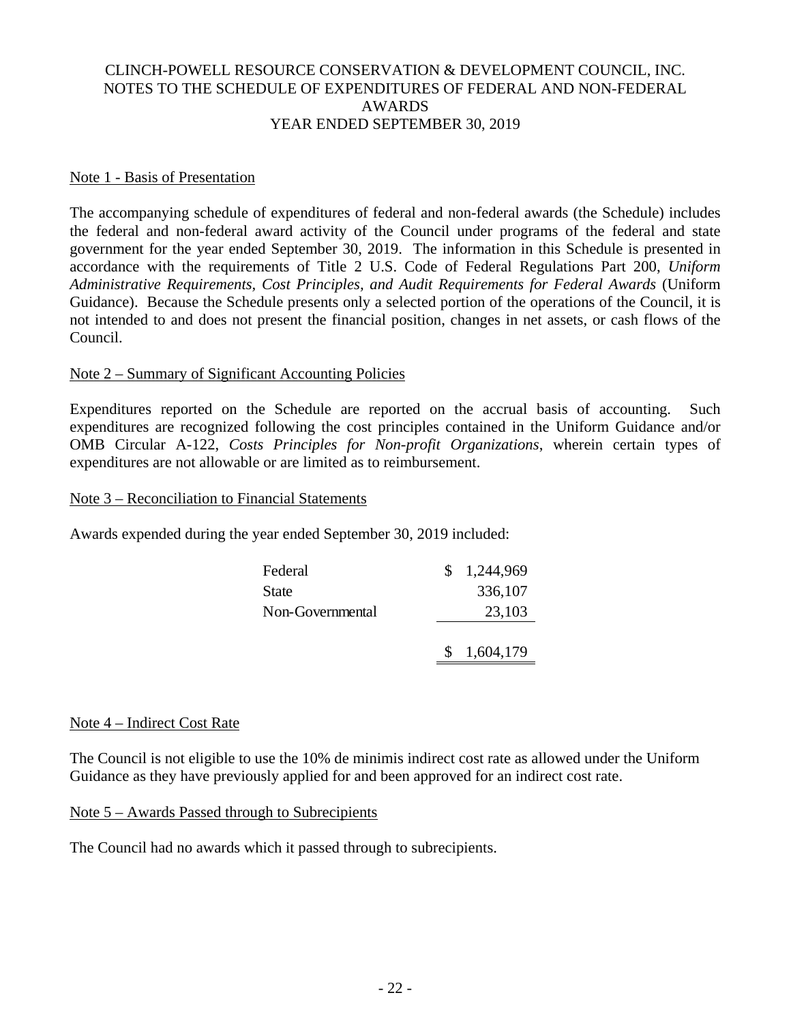## CLINCH-POWELL RESOURCE CONSERVATION & DEVELOPMENT COUNCIL, INC. NOTES TO THE SCHEDULE OF EXPENDITURES OF FEDERAL AND NON-FEDERAL AWARDS YEAR ENDED SEPTEMBER 30, 2019

#### Note 1 - Basis of Presentation

The accompanying schedule of expenditures of federal and non-federal awards (the Schedule) includes the federal and non-federal award activity of the Council under programs of the federal and state government for the year ended September 30, 2019. The information in this Schedule is presented in accordance with the requirements of Title 2 U.S. Code of Federal Regulations Part 200, *Uniform Administrative Requirements, Cost Principles, and Audit Requirements for Federal Awards* (Uniform Guidance). Because the Schedule presents only a selected portion of the operations of the Council, it is not intended to and does not present the financial position, changes in net assets, or cash flows of the Council.

#### Note 2 – Summary of Significant Accounting Policies

Expenditures reported on the Schedule are reported on the accrual basis of accounting. Such expenditures are recognized following the cost principles contained in the Uniform Guidance and/or OMB Circular A-122, *Costs Principles for Non-profit Organizations*, wherein certain types of expenditures are not allowable or are limited as to reimbursement.

#### Note 3 – Reconciliation to Financial Statements

Awards expended during the year ended September 30, 2019 included:

| Federal          |     | \$1,244,969 |
|------------------|-----|-------------|
| <b>State</b>     |     | 336,107     |
| Non-Governmental |     | 23,103      |
|                  |     |             |
|                  | SS. | 1,604,179   |

#### Note 4 – Indirect Cost Rate

The Council is not eligible to use the 10% de minimis indirect cost rate as allowed under the Uniform Guidance as they have previously applied for and been approved for an indirect cost rate.

#### Note 5 – Awards Passed through to Subrecipients

The Council had no awards which it passed through to subrecipients.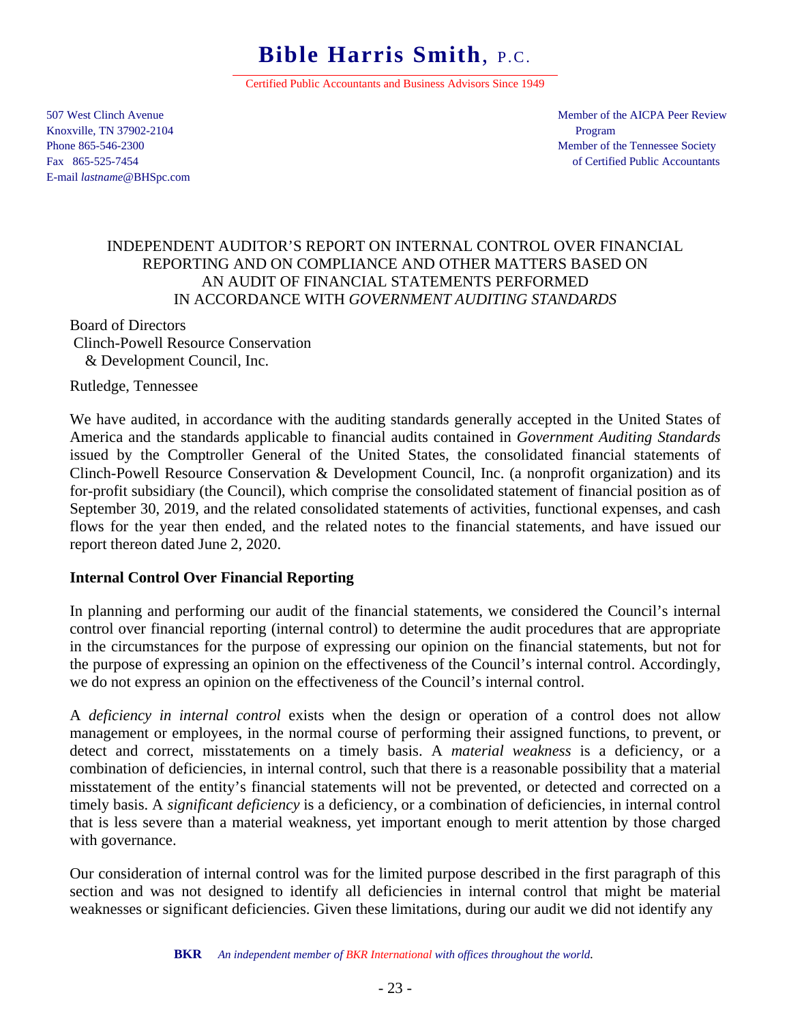# **Bible Harris Smith**, P.C.

Certified Public Accountants and Business Advisors Since 1949

Knoxville, TN 37902-2104 Program E-mail *lastname*@BHSpc.com

507 West Clinch Avenue Member of the AICPA Peer Review Phone 865-546-2300 Member of the Tennessee Society Fax 865-525-7454 of Certified Public Accountants

## INDEPENDENT AUDITOR'S REPORT ON INTERNAL CONTROL OVER FINANCIAL REPORTING AND ON COMPLIANCE AND OTHER MATTERS BASED ON AN AUDIT OF FINANCIAL STATEMENTS PERFORMED IN ACCORDANCE WITH *GOVERNMENT AUDITING STANDARDS*

Board of Directors Clinch-Powell Resource Conservation & Development Council, Inc.

Rutledge, Tennessee

We have audited, in accordance with the auditing standards generally accepted in the United States of America and the standards applicable to financial audits contained in *Government Auditing Standards* issued by the Comptroller General of the United States, the consolidated financial statements of Clinch-Powell Resource Conservation & Development Council, Inc. (a nonprofit organization) and its for-profit subsidiary (the Council), which comprise the consolidated statement of financial position as of September 30, 2019, and the related consolidated statements of activities, functional expenses, and cash flows for the year then ended, and the related notes to the financial statements, and have issued our report thereon dated June 2, 2020.

#### **Internal Control Over Financial Reporting**

In planning and performing our audit of the financial statements, we considered the Council's internal control over financial reporting (internal control) to determine the audit procedures that are appropriate in the circumstances for the purpose of expressing our opinion on the financial statements, but not for the purpose of expressing an opinion on the effectiveness of the Council's internal control. Accordingly, we do not express an opinion on the effectiveness of the Council's internal control.

A *deficiency in internal control* exists when the design or operation of a control does not allow management or employees, in the normal course of performing their assigned functions, to prevent, or detect and correct, misstatements on a timely basis. A *material weakness* is a deficiency, or a combination of deficiencies, in internal control, such that there is a reasonable possibility that a material misstatement of the entity's financial statements will not be prevented, or detected and corrected on a timely basis. A *significant deficiency* is a deficiency, or a combination of deficiencies, in internal control that is less severe than a material weakness, yet important enough to merit attention by those charged with governance.

Our consideration of internal control was for the limited purpose described in the first paragraph of this section and was not designed to identify all deficiencies in internal control that might be material weaknesses or significant deficiencies. Given these limitations, during our audit we did not identify any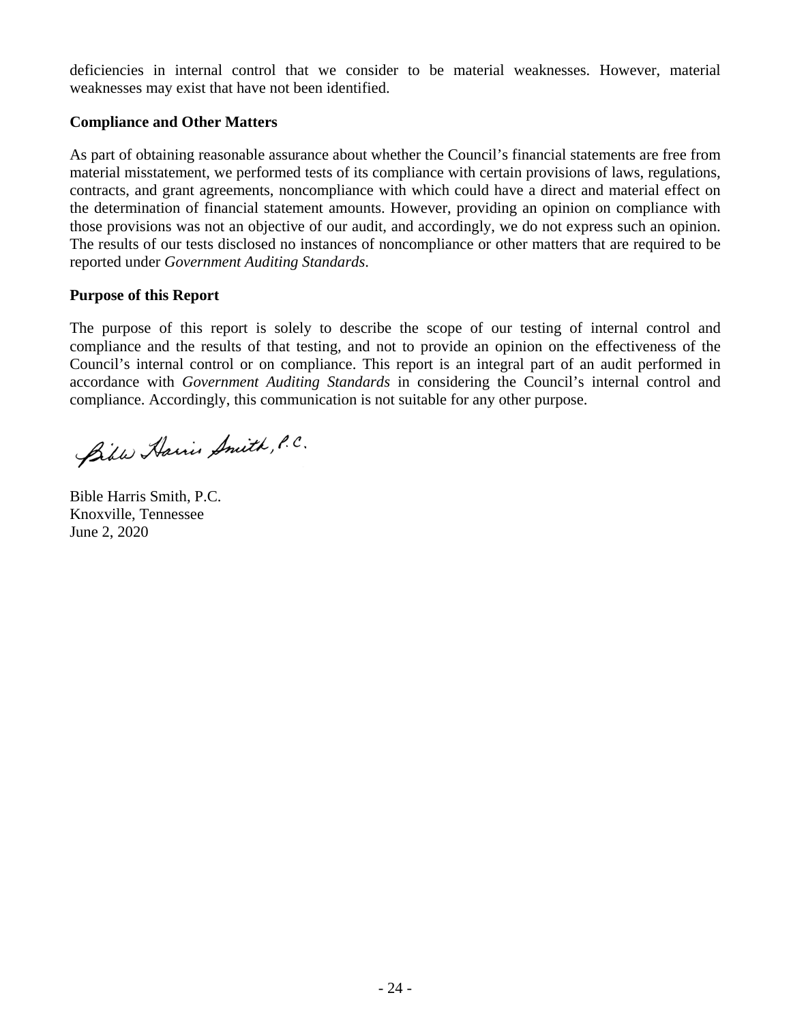deficiencies in internal control that we consider to be material weaknesses. However, material weaknesses may exist that have not been identified.

## **Compliance and Other Matters**

As part of obtaining reasonable assurance about whether the Council's financial statements are free from material misstatement, we performed tests of its compliance with certain provisions of laws, regulations, contracts, and grant agreements, noncompliance with which could have a direct and material effect on the determination of financial statement amounts. However, providing an opinion on compliance with those provisions was not an objective of our audit, and accordingly, we do not express such an opinion. The results of our tests disclosed no instances of noncompliance or other matters that are required to be reported under *Government Auditing Standards*.

### **Purpose of this Report**

The purpose of this report is solely to describe the scope of our testing of internal control and compliance and the results of that testing, and not to provide an opinion on the effectiveness of the Council's internal control or on compliance. This report is an integral part of an audit performed in accordance with *Government Auditing Standards* in considering the Council's internal control and compliance. Accordingly, this communication is not suitable for any other purpose.

Bible Harris Smith, P.C.

Bible Harris Smith, P.C. Knoxville, Tennessee June 2, 2020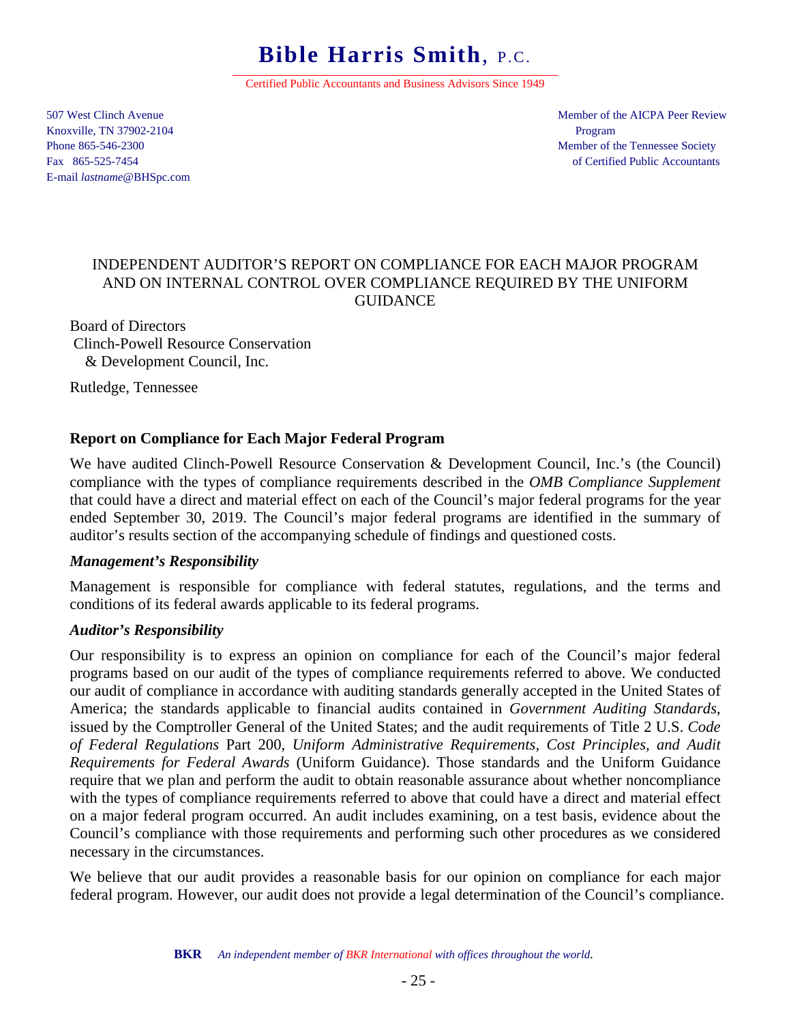# **Bible Harris Smith**, P.C.

Certified Public Accountants and Business Advisors Since 1949

Knoxville, TN 37902-2104 Program E-mail *lastname*@BHSpc.com

507 West Clinch Avenue Member of the AICPA Peer Review Phone 865-546-2300 Member of the Tennessee Society Fax 865-525-7454 of Certified Public Accountants

## INDEPENDENT AUDITOR'S REPORT ON COMPLIANCE FOR EACH MAJOR PROGRAM AND ON INTERNAL CONTROL OVER COMPLIANCE REQUIRED BY THE UNIFORM GUIDANCE

Board of Directors Clinch-Powell Resource Conservation & Development Council, Inc.

Rutledge, Tennessee

#### **Report on Compliance for Each Major Federal Program**

We have audited Clinch-Powell Resource Conservation & Development Council, Inc.'s (the Council) compliance with the types of compliance requirements described in the *OMB Compliance Supplement* that could have a direct and material effect on each of the Council's major federal programs for the year ended September 30, 2019. The Council's major federal programs are identified in the summary of auditor's results section of the accompanying schedule of findings and questioned costs.

#### *Management's Responsibility*

Management is responsible for compliance with federal statutes, regulations, and the terms and conditions of its federal awards applicable to its federal programs.

#### *Auditor's Responsibility*

Our responsibility is to express an opinion on compliance for each of the Council's major federal programs based on our audit of the types of compliance requirements referred to above. We conducted our audit of compliance in accordance with auditing standards generally accepted in the United States of America; the standards applicable to financial audits contained in *Government Auditing Standards*, issued by the Comptroller General of the United States; and the audit requirements of Title 2 U.S. *Code of Federal Regulations* Part 200, *Uniform Administrative Requirements, Cost Principles, and Audit Requirements for Federal Awards* (Uniform Guidance). Those standards and the Uniform Guidance require that we plan and perform the audit to obtain reasonable assurance about whether noncompliance with the types of compliance requirements referred to above that could have a direct and material effect on a major federal program occurred. An audit includes examining, on a test basis, evidence about the Council's compliance with those requirements and performing such other procedures as we considered necessary in the circumstances.

We believe that our audit provides a reasonable basis for our opinion on compliance for each major federal program. However, our audit does not provide a legal determination of the Council's compliance.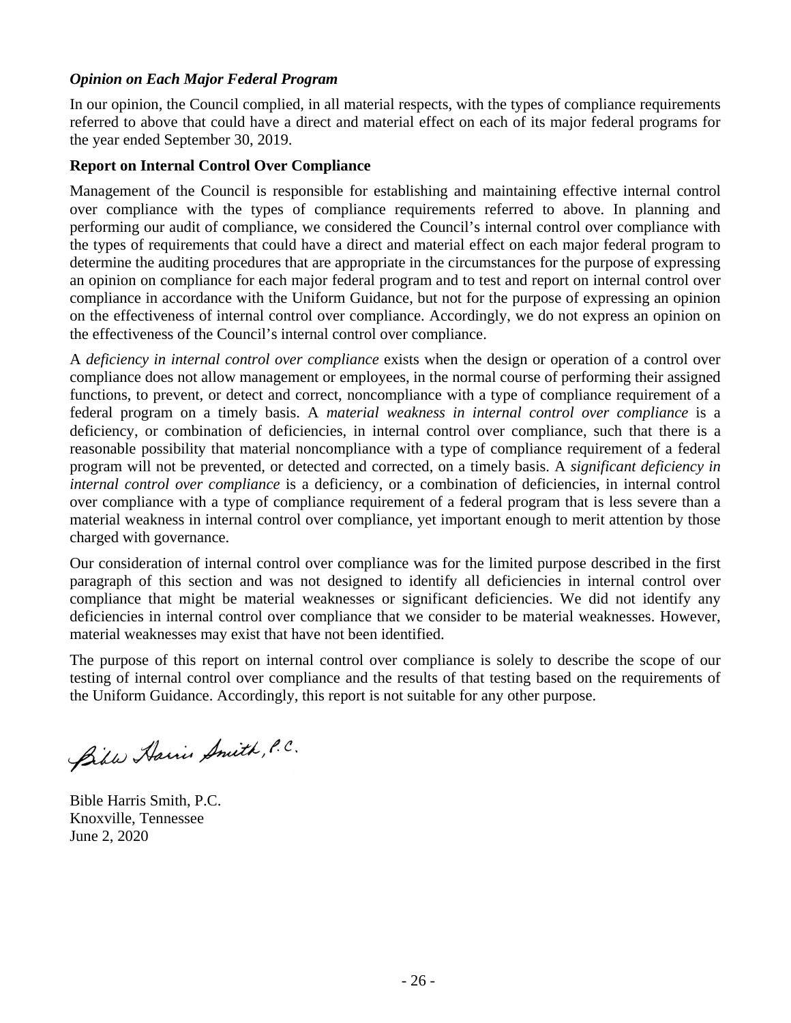# *Opinion on Each Major Federal Program*

In our opinion, the Council complied, in all material respects, with the types of compliance requirements referred to above that could have a direct and material effect on each of its major federal programs for the year ended September 30, 2019.

### **Report on Internal Control Over Compliance**

Management of the Council is responsible for establishing and maintaining effective internal control over compliance with the types of compliance requirements referred to above. In planning and performing our audit of compliance, we considered the Council's internal control over compliance with the types of requirements that could have a direct and material effect on each major federal program to determine the auditing procedures that are appropriate in the circumstances for the purpose of expressing an opinion on compliance for each major federal program and to test and report on internal control over compliance in accordance with the Uniform Guidance, but not for the purpose of expressing an opinion on the effectiveness of internal control over compliance. Accordingly, we do not express an opinion on the effectiveness of the Council's internal control over compliance.

A *deficiency in internal control over compliance* exists when the design or operation of a control over compliance does not allow management or employees, in the normal course of performing their assigned functions, to prevent, or detect and correct, noncompliance with a type of compliance requirement of a federal program on a timely basis. A *material weakness in internal control over compliance* is a deficiency, or combination of deficiencies, in internal control over compliance, such that there is a reasonable possibility that material noncompliance with a type of compliance requirement of a federal program will not be prevented, or detected and corrected, on a timely basis. A *significant deficiency in internal control over compliance* is a deficiency, or a combination of deficiencies, in internal control over compliance with a type of compliance requirement of a federal program that is less severe than a material weakness in internal control over compliance, yet important enough to merit attention by those charged with governance.

Our consideration of internal control over compliance was for the limited purpose described in the first paragraph of this section and was not designed to identify all deficiencies in internal control over compliance that might be material weaknesses or significant deficiencies. We did not identify any deficiencies in internal control over compliance that we consider to be material weaknesses. However, material weaknesses may exist that have not been identified.

The purpose of this report on internal control over compliance is solely to describe the scope of our testing of internal control over compliance and the results of that testing based on the requirements of the Uniform Guidance. Accordingly, this report is not suitable for any other purpose.

Bible Asia Smith, P.C.

Bible Harris Smith, P.C. Knoxville, Tennessee June 2, 2020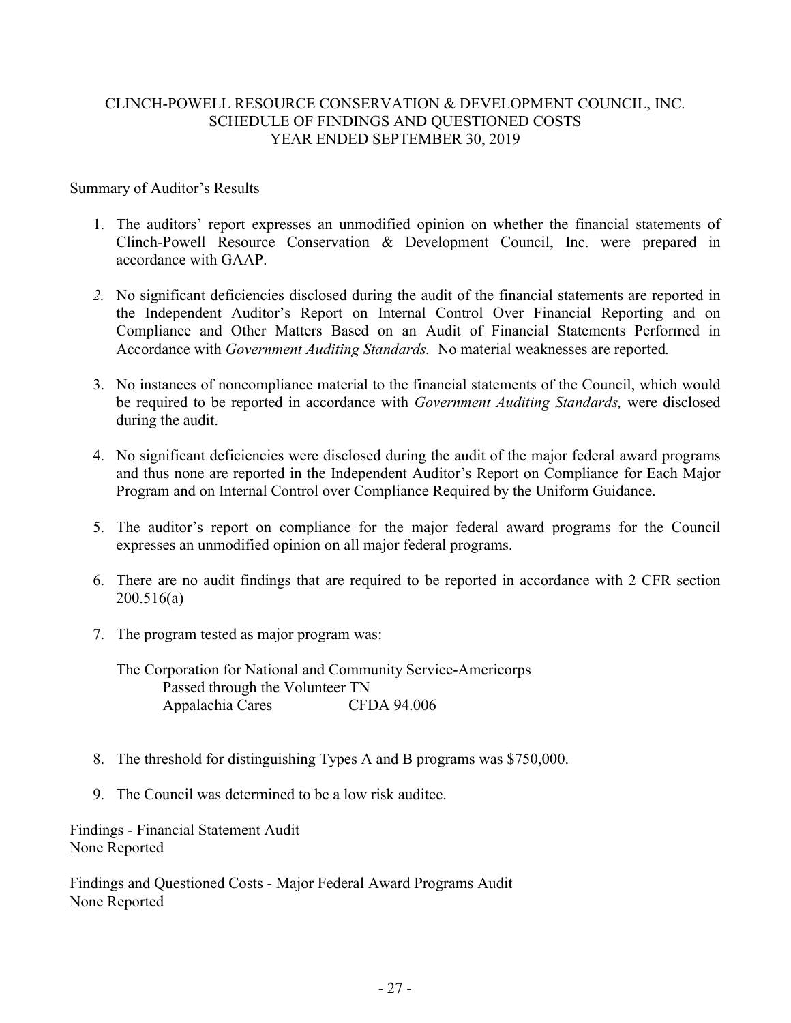## CLINCH-POWELL RESOURCE CONSERVATION & DEVELOPMENT COUNCIL, INC. SCHEDULE OF FINDINGS AND QUESTIONED COSTS YEAR ENDED SEPTEMBER 30, 2019

### Summary of Auditor's Results

- 1. The auditors' report expresses an unmodified opinion on whether the financial statements of Clinch-Powell Resource Conservation & Development Council, Inc. were prepared in accordance with GAAP.
- *2.* No significant deficiencies disclosed during the audit of the financial statements are reported in the Independent Auditor's Report on Internal Control Over Financial Reporting and on Compliance and Other Matters Based on an Audit of Financial Statements Performed in Accordance with *Government Auditing Standards.* No material weaknesses are reported*.*
- 3. No instances of noncompliance material to the financial statements of the Council, which would be required to be reported in accordance with *Government Auditing Standards,* were disclosed during the audit.
- 4. No significant deficiencies were disclosed during the audit of the major federal award programs and thus none are reported in the Independent Auditor's Report on Compliance for Each Major Program and on Internal Control over Compliance Required by the Uniform Guidance.
- 5. The auditor's report on compliance for the major federal award programs for the Council expresses an unmodified opinion on all major federal programs.
- 6. There are no audit findings that are required to be reported in accordance with 2 CFR section 200.516(a)
- 7. The program tested as major program was:

The Corporation for National and Community Service-Americorps Passed through the Volunteer TN Appalachia Cares CFDA 94.006

- 8. The threshold for distinguishing Types A and B programs was \$750,000.
- 9. The Council was determined to be a low risk auditee.

Findings - Financial Statement Audit None Reported

Findings and Questioned Costs - Major Federal Award Programs Audit None Reported